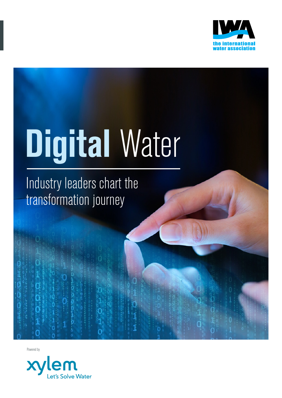

# **Digital** Water

Industry leaders chart the transformation journey

 $\Omega$ 

Powered by

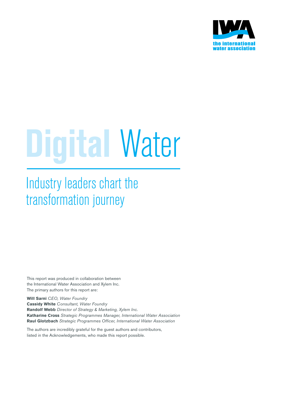

## **Digital** Water

Industry leaders chart the transformation journey

This report was produced in collaboration between the International Water Association and Xylem Inc. The primary authors for this report are:

**Will Sarni** *CEO, Water Foundry* **Cassidy White** *Consultant, Water Foundry* **Randolf Webb** *Director of Strategy & Marketing, Xylem Inc.* **Katharine Cross** *Strategic Programmes Manager, International Water Association*  **Raul Glotzbach** *Strategic Programmes Officer, International Water Association*

The authors are incredibly grateful for the guest authors and contributors, listed in the Acknowledgements, who made this report possible.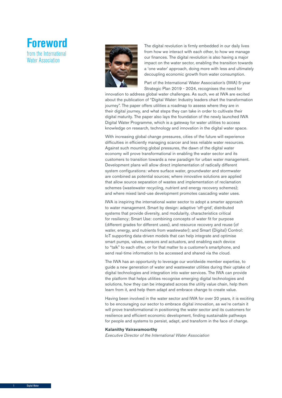



The digital revolution is firmly embedded in our daily lives from how we interact with each other, to how we manage our finances. The digital revolution is also having a major impact on the water sector, enabling the transition towards a 'one water' approach, doing more with less and ultimately decoupling economic growth from water consumption.

Part of the International Water Association's (IWA) 5-year Strategic Plan 2019 - 2024, recognises the need for

innovation to address global water challenges. As such, we at IWA are excited about the publication of "Digital Water: Industry leaders chart the transformation journey". The paper offers utilities a roadmap to assess where they are in their digital journey, and what steps they can take in order to cultivate their digital maturity. The paper also lays the foundation of the newly launched IWA Digital Water Programme, which is a gateway for water utilities to access knowledge on research, technology and innovation in the digital water space.

With increasing global change pressures, cities of the future will experience difficulties in efficiently managing scarcer and less reliable water resources. Against such mounting global pressures, the dawn of the digital water economy will prove transformational in enabling the water sector and its customers to transition towards a new paradigm for urban water management. Development plans will allow direct implementation of radically different system configurations: where surface water, groundwater and stormwater are combined as potential sources; where innovative solutions are applied that allow source separation of wastes and implementation of reclamation schemes (wastewater recycling, nutrient and energy recovery schemes); and where mixed land-use development promotes cascading water uses.

IWA is inspiring the international water sector to adopt a smarter approach to water management. Smart by design: adaptive 'off-grid', distributed systems that provide diversity, and modularity, characteristics critical for resiliency; Smart Use: combining concepts of water fit for purpose (different grades for different uses), and resource recovery and reuse (of water, energy, and nutrients from wastewater); and Smart (Digital) Control: IoT supporting data-driven models that can help integrate and optimise smart pumps, valves, sensors and actuators, and enabling each device to "talk" to each other, or for that matter to a customer's smartphone, and send real-time information to be accessed and shared via the cloud.

The IWA has an opportunity to leverage our worldwide member expertise, to guide a new generation of water and wastewater utilities during their uptake of digital technologies and integration into water services. The IWA can provide the platform that helps utilities recognise emerging digital technologies and solutions, how they can be integrated across the utility value chain, help them learn from it, and help them adapt and embrace change to create value.

Having been involved in the water sector and IWA for over 20 years, it is exciting to be encouraging our sector to embrace digital innovation, as we're certain it will prove transformational in positioning the water sector and its customers for resilience and efficient economic development, finding sustainable pathways for people and systems to persist, adapt, and transform in the face of change.

#### **Kalanithy Vairavamoorthy**

*Executive Director of the International Water Association*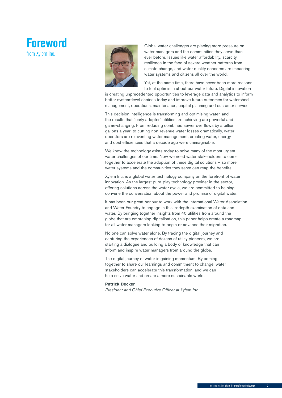## **Foreword**  from Xylem Inc.



Global water challenges are placing more pressure on water managers and the communities they serve than ever before. Issues like water affordability, scarcity, resilience in the face of severe weather patterns from climate change, and water quality concerns are impacting water systems and citizens all over the world.

Yet, at the same time, there have never been more reasons to feel optimistic about our water future. Digital innovation

is creating unprecedented opportunities to leverage data and analytics to inform better system-level choices today and improve future outcomes for watershed management, operations, maintenance, capital planning and customer service.

This decision intelligence is transforming and optimising water, and the results that "early adopter" utilities are achieving are powerful and game-changing. From reducing combined sewer overflows by a billion gallons a year, to cutting non-revenue water losses dramatically, water operators are reinventing water management, creating water, energy and cost efficiencies that a decade ago were unimaginable.

We know the technology exists today to solve many of the most urgent water challenges of our time. Now we need water stakeholders to come together to accelerate the adoption of these digital solutions – so more water systems and the communities they serve can reap the benefits.

Xylem Inc. is a global water technology company on the forefront of water innovation. As the largest pure-play technology provider in the sector, offering solutions across the water cycle, we are committed to helping convene the conversation about the power and promise of digital water.

It has been our great honour to work with the International Water Association and Water Foundry to engage in this in-depth examination of data and water. By bringing together insights from 40 utilities from around the globe that are embracing digitalisation, this paper helps create a roadmap for all water managers looking to begin or advance their migration.

No one can solve water alone. By tracing the digital journey and capturing the experiences of dozens of utility pioneers, we are starting a dialogue and building a body of knowledge that can inform and inspire water managers from around the globe.

The digital journey of water is gaining momentum. By coming together to share our learnings and commitment to change, water stakeholders can accelerate this transformation, and we can help solve water and create a more sustainable world.

#### **Patrick Decker**

*President and Chief Executive Officer at Xylem Inc.*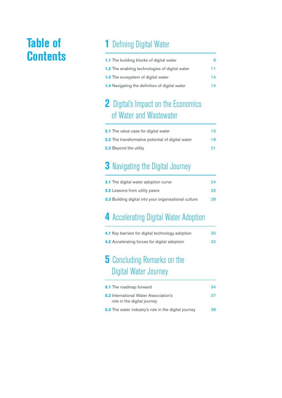## **Contents**

## **Table of 1 Defining Digital Water**

| <b>1.1</b> The building blocks of digital water       | 8  |
|-------------------------------------------------------|----|
| <b>1.2</b> The enabling technologies of digital water | 11 |
| <b>1.3</b> The ecosystem of digital water             | 14 |
| <b>1.4</b> Navigating the definition of digital water | 14 |

## **2** Digital's Impact on the Economics of Water and Wastewater

| <b>2.1</b> The value case for digital water              | 16 |
|----------------------------------------------------------|----|
| <b>2.2</b> The transformative potential of digital water | 18 |
| <b>2.3</b> Beyond the utility                            | 91 |

## **3** Navigating the Digital Journey

| <b>3.1</b> The digital water adoption curve                  | 94 |
|--------------------------------------------------------------|----|
| <b>3.2</b> Lessons from utility peers                        | 26 |
| <b>3.3</b> Building digital into your organisational culture | 28 |

## **4** Accelerating Digital Water Adoption

| 4.1 Key barriers for digital technology adoption | 30 |
|--------------------------------------------------|----|
| 4.2 Accelerating forces for digital adoption     | 32 |

## **5** Concluding Remarks on the Digital Water Journey

| <b>5.1</b> The roadmap forward                                                    | 34 |  |  |  |  |  |  |  |
|-----------------------------------------------------------------------------------|----|--|--|--|--|--|--|--|
| <b>5.2</b> International Water Association's<br>37<br>role in the digital journey |    |  |  |  |  |  |  |  |
| <b>5.3</b> The water industry's role in the digital journey                       | 38 |  |  |  |  |  |  |  |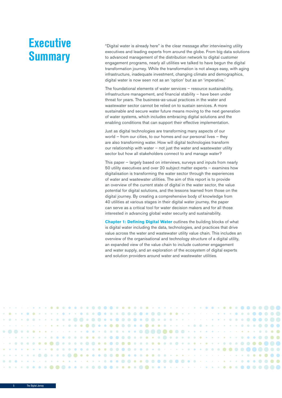## **Executive Summary**

"Digital water is already here" is the clear message after interviewing utility executives and leading experts from around the globe. From big data solutions to advanced management of the distribution network to digital customer engagement programs, nearly all utilities we talked to have begun the digital transformation journey. While the transformation is not always easy, with aging infrastructure, inadequate investment, changing climate and demographics, digital water is now seen not as an 'option' but as an 'imperative.'

The foundational elements of water services – resource sustainability, infrastructure management, and financial stability – have been under threat for years. The business-as-usual practices in the water and wastewater sector cannot be relied on to sustain services. A more sustainable and secure water future means moving to the next generation of water systems, which includes embracing digital solutions and the enabling conditions that can support their effective implementation.

Just as digital technologies are transforming many aspects of our world – from our cities, to our homes and our personal lives – they are also transforming water. How will digital technologies transform our relationship with water – not just the water and wastewater utility sector but how all stakeholders connect to and manage water?

This paper – largely based on interviews, surveys and inputs from nearly 50 utility executives and over 20 subject matter experts – examines how digitalisation is transforming the water sector through the experiences of water and wastewater utilities. The aim of this report is to provide an overview of the current state of digital in the water sector, the value potential for digital solutions, and the lessons learned from those on the digital journey. By creating a comprehensive body of knowledge from 40 utilities at various stages in their digital water journey, the paper can serve as a critical tool for water decision makers and for all those interested in advancing global water security and sustainability.

**Chapter 1: Defining Digital Water** outlines the building blocks of what is digital water including the data, technologies, and practices that drive value across the water and wastewater utility value chain. This includes an overview of the organisational and technology structure of a digital utility, an expanded view of the value chain to include customer engagement and water supply, and an exploration of the ecosystem of digital experts and solution providers around water and wastewater utilities.

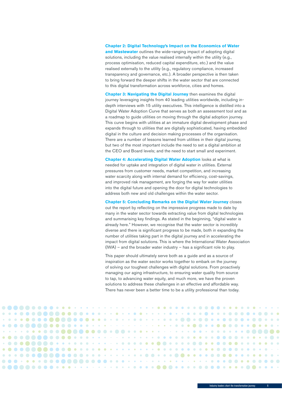**Chapter 2: Digital Technology's Impact on the Economics of Water and Wastewater** outlines the wide-ranging impact of adopting digital solutions, including the value realised internally within the utility (e.g., process optimisation, reduced capital expenditure, etc.) and the value realised externally to the utility (e.g., regulatory compliance, increased transparency and governance, etc.). A broader perspective is then taken to bring forward the deeper shifts in the water sector that are connected to this digital transformation across workforce, cities and homes.

**Chapter 3: Navigating the Digital Journey** then examines the digital journey leveraging insights from 40 leading utilities worldwide, including indepth interviews with 15 utility executives. This intelligence is distilled into a Digital Water Adoption Curve that serves as both an assessment tool and as a roadmap to guide utilities on moving through the digital adoption journey. This curve begins with utilities at an immature digital development phase and expands through to utilities that are digitally sophisticated, having embedded digital in the culture and decision making processes of the organisation. There are a number of lessons learned from utilities in their digital journey, but two of the most important include the need to set a digital ambition at the CEO and Board levels; and the need to start small and experiment.

**Chapter 4: Accelerating Digital Water Adoption** looks at what is needed for uptake and integration of digital water in utilities. External pressures from customer needs, market competition, and increasing water scarcity along with internal demand for efficiency, cost-savings, and improved risk management, are forging the way for water utilities into the digital future and opening the door for digital technologies to address both new and old challenges within the water sector.

**Chapter 5: Concluding Remarks on the Digital Water Journey** closes out the report by reflecting on the impressive progress made to date by many in the water sector towards extracting value from digital technologies and summarising key findings. As stated in the beginning, "digital water is already here." However, we recognise that the water sector is incredibly diverse and there is significant progress to be made, both in expanding the number of utilities taking part in the digital journey and in accelerating the impact from digital solutions. This is where the International Water Association  $(IVA)$  – and the broader water industry – has a significant role to play.

This paper should ultimately serve both as a guide and as a source of inspiration as the water sector works together to embark on the journey of solving our toughest challenges with digital solutions. From proactively managing our aging infrastructure, to ensuring water quality from source to tap, to advancing water equity, and much more, we have the proven solutions to address these challenges in an effective and affordable way. There has never been a better time to be a utility professional than today.

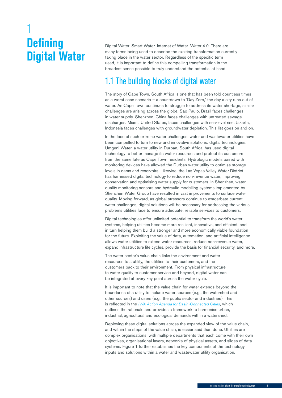## <span id="page-7-0"></span>1 **Defining Digital Water**

Digital Water. Smart Water. Internet of Water. Water 4.0. There are many terms being used to describe the exciting transformation currently taking place in the water sector. Regardless of the specific term used, it is important to define this compelling transformation in the broadest sense possible to truly understand the potential at hand.

## 1.1 The building blocks of digital water

The story of Cape Town, South Africa is one that has been told countless times as a worst case scenario – a countdown to 'Day Zero,' the day a city runs out of water. As Cape Town continues to struggle to address its water shortage, similar challenges are arising across the globe. Sao Paulo, Brazil faces challenges in water supply. Shenzhen, China faces challenges with untreated sewage discharges. Miami, United States, faces challenges with sea-level rise. Jakarta, Indonesia faces challenges with groundwater depletion. This list goes on and on.

In the face of such extreme water challenges, water and wastewater utilities have been compelled to turn to new and innovative solutions: digital technologies. Umgeni Water, a water utility in Durban, South Africa, has used digital technology to better manage its water resources and protect its customers from the same fate as Cape Town residents. Hydrologic models paired with monitoring devices have allowed the Durban water utility to optimise storage levels in dams and reservoirs. Likewise, the Las Vegas Valley Water District has harnessed digital technology to reduce non-revenue water, improving conservation and optimising water supply for customers. In Shenzhen, water quality monitoring sensors and hydraulic modelling systems implemented by Shenzhen Water Group have resulted in vast improvements to surface water quality. Moving forward, as global stressors continue to exacerbate current water challenges, digital solutions will be necessary for addressing the various problems utilities face to ensure adequate, reliable services to customers.

Digital technologies offer unlimited potential to transform the world's water systems, helping utilities become more resilient, innovative, and efficient, and in turn helping them build a stronger and more economically viable foundation for the future. Exploiting the value of data, automation, and artificial intelligence allows water utilities to extend water resources, reduce non-revenue water, expand infrastructure life cycles, provide the basis for financial security, and more.

The water sector's value chain links the environment and water resources to a utility, the utilities to their customers, and the customers back to their environment. From physical infrastructure to water quality to customer service and beyond, digital water can be integrated at every key point across the water cycle.

It is important to note that the value chain for water extends beyond the boundaries of a utility to include water sources (e.g., the watershed and other sources) and users (e.g., the public sector and industries). This is reflected in the *[IWA Action Agenda for Basin-Connected Cities](http://www.iwa-network.org/projects/basin-action-agenda)*, which outlines the rationale and provides a framework to harmonise urban, industrial, agricultural and ecological demands within a watershed.

Deploying these digital solutions across the expanded view of the value chain, and within the steps of the value chain, is easier said than done. Utilities are complex organisations, with multiple departments that each come with their own objectives, organisational layers, networks of physical assets, and siloes of data systems. Figure 1 further establishes the key components of the technology inputs and solutions within a water and wastewater utility organisation.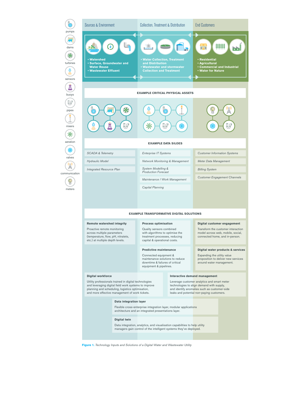dams  $\clubsuit$ turbines  $Q$ sensors  $\frac{1}{\mathbb{A}}$ buoys  $\bigoplus$ pipes mixers \* aeration  $\circledast$ valves  $\mathbb{A}^{(n)}$ 

communication  $\circledR$ 

**Figure 1.** *Technology Inputs and Solutions of a Digital Water and Wastewater Utility* 



and more effective management of work tickets.

#### **Data integration layer**

Flexible cross-enterprise integration layer, modular applications architecture and an integrated presentations layer.

#### **Digital twin**

Data integration, analytics, and visualisation capabilities to help utility managers gain control of the intelligent systems they've deployed.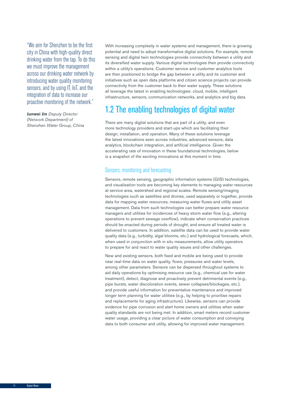<span id="page-9-0"></span>"We aim for Shenzhen to be the first city in China with high-quality direct drinking water from the tap. To do this we must improve the management across our drinking water network by introducing water quality monitoring sensors, and by using IT, IoT, and the integration of data to increase our proactive monitoring of the network."

**Junwei Jin** *Deputy Director (Network Department) of Shenzhen Water Group, China* With increasing complexity in water systems and management, there is growing potential and need to adopt transformative digital solutions. For example, remote sensing and digital twin technologies provide connectivity between a utility and its diversified water supply. Various digital technologies then provide connectivity within a utility's operations. Customer service and customer analytics tools are then positioned to bridge the gap between a utility and its customer and initiatives such as open data platforms and citizen science projects can provide connectivity from the customer back to their water supply. These solutions all leverage the latest in enabling technologies: cloud, mobile, intelligent infrastructure, sensors, communication networks, and analytics and big data.

## 1.2 The enabling technologies of digital water

There are many digital solutions that are part of a utility, and even more technology providers and start-ups which are facilitating their design, installation, and operation. Many of these solutions leverage the latest innovations seen across industries, advanced sensors, data analytics, blockchain integration, and artificial intelligence. Given the accelerating rate of innovation in these foundational technologies, below is a snapshot of the exciting innovations at this moment in time.

#### Sensors, monitoring and forecasting

Sensors, remote sensing, geographic information systems (GIS) technologies, and visualisation tools are becoming key elements to managing water resources at service area, watershed and regional scales. Remote sensing/imaging technologies such as satellites and drones, used separately or together, provide data for mapping water resources, measuring water fluxes and utility asset management. Data from such technologies can better prepare water resource managers and utilities for incidences of heavy storm water flow (e.g., altering operations to prevent sewage overflow), indicate when conservation practices should be enacted during periods of drought, and ensure all treated water is delivered to customers. In addition, satellite data can be used to provide water quality data (e.g., turbidity, algal blooms, etc.) and hydrological forecasts, which, when used in conjunction with in situ measurements, allow utility operators to prepare for and react to water quality issues and other challenges.

New and existing sensors, both fixed and mobile are being used to provide near real-time data on water quality, flows, pressures and water levels, among other parameters. Sensors can be dispersed throughout systems to aid daily operations by optimising resource use (e.g., chemical use for water treatment), detect, diagnose and proactively prevent detrimental events (e.g., pipe bursts, water discoloration events, sewer collapses/blockages, etc.), and provide useful information for preventative maintenance and improved longer term planning for water utilities (e.g., by helping to prioritise repairs and replacements for aging infrastructure). Likewise, sensors can provide evidence for pipe corrosion and alert home owners and utilities when water quality standards are not being met. In addition, smart meters record customer water usage, providing a clear picture of water consumption and conveying data to both consumer and utility, allowing for improved water management.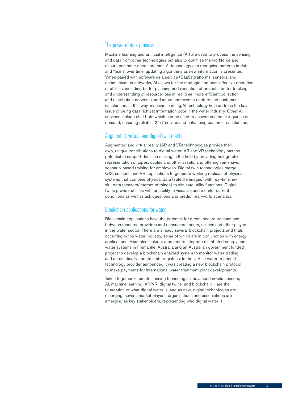#### The power of data processing

Machine learning and artificial intelligence (AI) are used to process the sensing and data from other technologies but also to optimise the workforce and ensure customer needs are met. AI technology can recognise patterns in data and "learn" over time, updating algorithms as new information is presented. When paired with software as a service (SaaS) platforms, sensors, and communication networks, AI allows for the strategic and cost-effective operation of utilities, including better planning and execution of projects, better tracking and understanding of resource-loss in real time, more efficient collection and distribution networks, and maximum revenue capture and customer satisfaction. In this way, machine learning/AI technology help address the key issue of being data rich yet information poor in the water industry. Other AI services include chat bots which can be used to answer customer inquiries on demand, ensuring reliable, 24/7 service and enhancing customer satisfaction.

#### Augmented, virtual, and digital twin reality

Augmented and virtual reality (AR and VR) technologies provide their own, unique contributions to digital water. AR and VR technology has the potential to support decision making in the field by providing holographic representation of pipes, cables and other assets, and offering immersive, scenario-based training for employees. Digital twin technologies merge GIS, sensors, and VR applications to generate working replicas of physical systems that combine physical data (satellite images) with real-time, insitu data (sensors/internet of things) to simulate utility functions. Digital twins provide utilities with an ability to visualise and monitor current conditions as well as ask questions and predict real-world scenarios.

#### Blockchain applications for water

Blockchain applications have the potential for direct, secure transactions between resource providers and consumers, peers, utilities and other players in the water sector. There are already several blockchain projects and trials occurring in the water industry, some of which are in conjunction with energy applications. Examples include: a project to integrate distributed energy and water systems in Fremantle, Australia and an Australian government funded project to develop a blockchain enabled system to monitor water trading and automatically update state registries. In the U.S., a water treatment technology provider announced it was creating a new blockchain protocol to make payments for international water treatment plant developments.

Taken together – remote sensing technologies, advanced in-situ sensors, AI, machine learning, AR/VR, digital twins, and blockchain – are the foundation of what digital water is, and as new, digital technologies are emerging, several market players, organisations and associations are emerging as key stakeholders, representing who digital water is.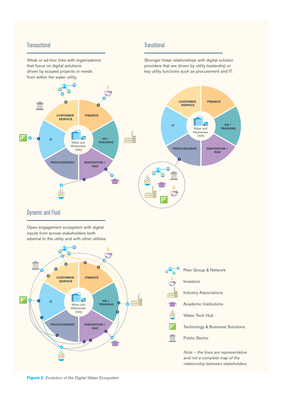#### **Transactional**

Weak or ad-hoc links with organisations that focus on digital solutions driven by scoped projects or needs from within the water utility.

#### **Transitional**

Stronger linear relationships with digital solution providers that are driven by utility leadership or key utility functions such as procurement and IT.



#### Dynamic and Fluid

**IT**

**To...** 

Open engagement ecosystem with digital inputs from across stakeholders both external to the utility and with other utilities.





*Note – the lines are representative and not a complete map of the relationship between stakeholders*

**Figure 2.** *Evolution of the Digital Water Ecosystem*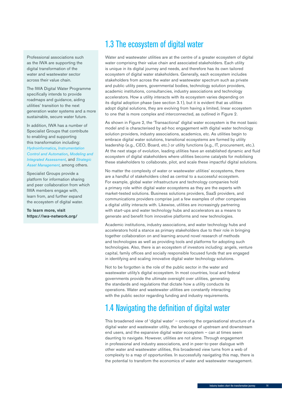<span id="page-12-0"></span>Professional associations such as the IWA are supporting the digital transformation of the water and wastewater sector across their value chain.

The IWA Digital Water Programme specifically intends to provide roadmaps and guidance, aiding utilities' transition to the next generation water systems and a more sustainable, secure water future.

In addition, IWA has a number of Specialist Groups that contribute to enabling and supporting this transformation including: *[Hydroinformatics](https://iwa-connect.org/#/group/hydroinformatics?view=public)*, *[Instrumentation](https://iwa-connect.org/group/instrumentation-control-and-automation?view=public )  [Control and Automation](https://iwa-connect.org/group/instrumentation-control-and-automation?view=public )*, *[Modeling and](https://iwa-connect.org/group/modelling-and-integrated-assessment?view=public)  [Integrated Assessment](https://iwa-connect.org/group/modelling-and-integrated-assessment?view=public)*, and *[Strategic](https://iwa-connect.org/group/strategic-asset-management?view=public)  [Asset Management](https://iwa-connect.org/group/strategic-asset-management?view=public)*, among others.

Specialist Groups provide a platform for information sharing and peer collaboration from which IWA members engage with, learn from, and further expand the ecosystem of digital water.

**To learn more, visit https://iwa-network.org/**

## 1.3 The ecosystem of digital water

Water and wastewater utilities are at the centre of a greater ecosystem of digital water comprising their value chain and associated stakeholders. Each utility is unique in its digital journey and needs, and therefore has its own tailored ecosystem of digital water stakeholders. Generally, each ecosystem includes stakeholders from across the water and wastewater spectrum such as private and public utility peers, governmental bodies, technology solution providers, academic institutions, consultancies, industry associations and technology accelerators. How a utility interacts with its ecosystem varies depending on its digital adoption phase (see section 3.1), but it is evident that as utilities adopt digital solutions, they are evolving from having a limited, linear ecosystem to one that is more complex and interconnected, as outlined in Figure 2.

As shown in Figure 2, the 'Transactional' digital water ecosystem is the most basic model and is characterised by ad-hoc engagement with digital water technology solution providers, industry associations, academics, etc. As utilities begin to embrace digital water solutions, transitional ecosystems are formed by utility leadership (e.g., CEO, Board, etc.) or utility functions (e.g., IT, procurement, etc.). At the next stage of evolution, leading utilities have an established dynamic and fluid ecosystem of digital stakeholders where utilities become catalysts for mobilising these stakeholders to collaborate, pilot, and scale these impactful digital solutions.

No matter the complexity of water or wastewater utilities' ecosystems, there are a handful of stakeholders cited as central to a successful ecosystem. For example, global water infrastructure and technology companies hold a primary role within digital water ecosystems as they are the experts with market-tested solutions. Business solutions providers, SaaS providers, and communications providers comprise just a few examples of other companies a digital utility interacts with. Likewise, utilities are increasingly partnering with start-ups and water technology hubs and accelerators as a means to generate and benefit from innovative platforms and new technologies.

Academic institutions, industry associations, and water technology hubs and accelerators hold a stance as primary stakeholders due to their role in bringing together collaboration on and learning around novel research of methods and technologies as well as providing tools and platforms for adopting such technologies. Also, there is an ecosystem of investors including: angels, venture capital, family offices and socially responsible focused funds that are engaged in identifying and scaling innovative digital water technology solutions.

Not to be forgotten is the role of the public sector in the water and wastewater utility's digital ecosystem. In most countries, local and federal governments provide the ultimate oversight over utilities, generating the standards and regulations that dictate how a utility conducts its operations. Water and wastewater utilities are constantly interacting with the public sector regarding funding and industry requirements.

## 1.4 Navigating the definition of digital water

This broadened view of 'digital water' – covering the organisational structure of a digital water and wastewater utility, the landscape of upstream and downstream end users, and the expansive digital water ecosystem – can at times seem daunting to navigate. However, utilities are not alone. Through engagement in professional and industry associations, and in peer-to-peer dialogue with other water and wastewater utilities, this broadened view turns from a web of complexity to a map of opportunities. In successfully navigating this map, there is the potential to transform the economics of water and wastewater management.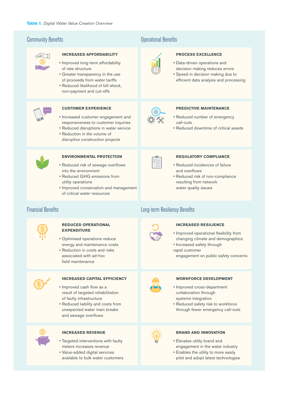

#### **INCREASED AFFORDABILITY**

- Improved long-term affordability of rate structure
- Greater transparency in the use of proceeds from water tariffs
- Reduced likelihood of bill shock, non-payment and cut-offs



#### **CUSTOMER EXPERIENCE**

- Increased customer engagement and responsiveness to customer inquiries
- Reduced disruptions in water service • Reduction in the volume of
- disruptive construction projects



#### **ENVIRONMENTAL PROTECTION**

- Reduced risk of sewage overflows into the environment
- Reduced GHG emissions from utility operations

**REDUCED OPERATIONAL** 

• Optimised operations reduce energy and maintenance costs • Reduction in costs and risks associated with ad-hoc field maintenance

**EXPENDITURE**

• Improved conservation and management of critical water resources

#### **Community Benefits** Community Benefits **Community Benefits**



#### **PROCESS EXCELLENCE**

- Data-driven operations and decision making reduces errors
- Speed in decision making due to efficient data analysis and processing



#### **PREDICTIVE MAINTENANCE**

- Reduced number of emergency call-outs
- Reduced downtime of critical assets



#### **REGULATORY COMPLIANCE**

- Reduced incidences of failure and overflows
- Reduced risk of non-compliance resulting from network water quality issues

#### Financial Benefits **Long-term Resiliency Benefits**



#### **INCREASED RESILIENCE**

- Improved operational flexibility from changing climate and demographics
- Increased safety through rapid customer

**WORKFORCE DEVELOPMENT**

• Reduced safety risk to workforce through fewer emergency call-outs

• Improved cross-department collaboration through systems integration

engagement on public safety concerns



#### **INCREASED CAPITAL EFFICIENCY**

- Improved cash flow as a result of targeted rehabilitation of faulty infrastructure
- Reduced liability and costs from unexpected water main breaks and sewage overflows



#### **INCREASED REVENUE**

- Targeted interventions with faulty meters increases revenue
- Value-added digital services available to bulk water customers





#### **BRAND AND INNOVATION**

- Elevates utility brand and engagement in the water industry
- Enables the utility to more easily pilot and adopt latest technologies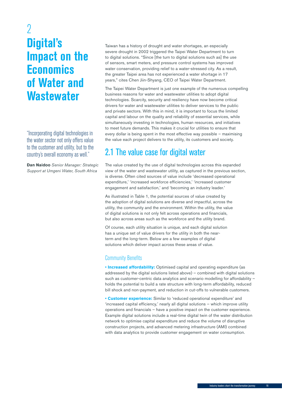## <span id="page-14-0"></span>2 **Digital's Impact on the Economics of Water and Wastewater**

"Incorporating digital technologies in the water sector not only offers value to the customer and utility, but to the country's overall economy as well."

**Dan Naidoo** *Senior Manager: Strategic Support at Umgeni Water, South Africa*

Taiwan has a history of drought and water shortages, an especially severe drought in 2002 triggered the Taipei Water Department to turn to digital solutions. "Since [the turn to digital solutions such as] the use of sensors, smart meters, and pressure control systems has improved water conservation, providing relief to a water-stressed city. As a result, the greater Taipei area has not experienced a water shortage in 17 years," cites Chen Jiin-Shyang, CEO of Taipei Water Department.

The Taipei Water Department is just one example of the numerous compelling business reasons for water and wastewater utilities to adopt digital technologies. Scarcity, security and resiliency have now become critical drivers for water and wastewater utilities to deliver services to the public and private sectors. With this in mind, it is important to focus the limited capital and labour on the quality and reliability of essential services, while simultaneously investing in technologies, human resources, and initiatives to meet future demands. This makes it crucial for utilities to ensure that every dollar is being spent in the most effective way possible – maximising the value each project delivers to the utility, its customers and society.

## 2.1 The value case for digital water

The value created by the use of digital technologies across this expanded view of the water and wastewater utility, as captured in the previous section, is diverse. Often cited sources of value include 'decreased operational expenditure,' 'increased workforce efficiencies,' 'increased customer engagement and satisfaction,' and 'becoming an industry leader.'

As illustrated in Table 1, the potential sources of value created by the adoption of digital solutions are diverse and impactful, across the utility, the community and the environment. Within the utility, the value of digital solutions is not only felt across operations and financials, but also across areas such as the workforce and the utility brand.

Of course, each utility situation is unique, and each digital solution has a unique set of value drivers for the utility in both the nearterm and the long-term. Below are a few examples of digital solutions which deliver impact across these areas of value.

#### Community Benefits

**• Increased affordability:** Optimised capital and operating expenditure (as addressed by the digital solutions listed above) – combined with digital solutions such as customer-centric data analytics and scenario modelling for affordability holds the potential to build a rate structure with long-term affordability, reduced bill shock and non-payment, and reduction in cut-offs to vulnerable customers.

**• Customer experience:** Similar to 'reduced operational expenditure' and 'increased capital efficiency,' nearly all digital solutions – which improve utility operations and financials – have a positive impact on the customer experience. Example digital solutions include a real-time digital twin of the water distribution network to optimise capital expenditure and reduce the volume of disruptive construction projects, and advanced metering infrastructure (AMI) combined with data analytics to provide customer engagement on water consumption.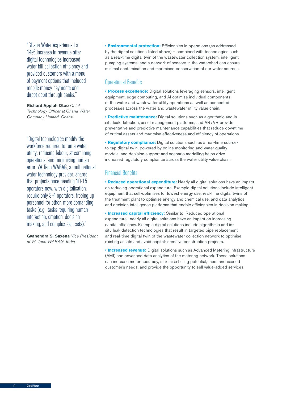"Ghana Water experienced a 14% increase in revenue after digital technologies increased water bill collection efficiency and provided customers with a menu of payment options that included mobile money payments and direct debit through banks."

**Richard Appiah Otoo** *Chief Technology Officer at Ghana Water Company Limited, Ghana*

"Digital technologies modify the workforce required to run a water utility, reducing labour, streamlining operations, and minimising human error. VA Tech WABAG, a multinational water technology provider, shared that projects once needing 10-15 operators now, with digitalisation, require only 3-4 operators, freeing up personnel for other, more demanding tasks (e.g., tasks requiring human interaction, emotion, decision making, and complex skill sets)."

**Gyanendra S. Saxena** *Vice President at VA Tech WABAG, India*

**• Environmental protection:** Efficiencies in operations (as addressed by the digital solutions listed above) – combined with technologies such as a real-time digital twin of the wastewater collection system, intelligent pumping systems, and a network of sensors in the watershed can ensure minimal contamination and maximised conservation of our water sources.

#### Operational Benefits

**• Process excellence:** Digital solutions leveraging sensors, intelligent equipment, edge computing, and AI optimise individual components of the water and wastewater utility operations as well as connected processes across the water and wastewater utility value chain.

**• Predictive maintenance:** Digital solutions such as algorithmic and insitu leak detection, asset management platforms, and AR /VR provide preventative and predictive maintenance capabilities that reduce downtime of critical assets and maximise effectiveness and efficiency of operations.

**• Regulatory compliance:** Digital solutions such as a real-time sourceto-tap digital twin, powered by online monitoring and water quality models, and decision support and scenario modelling helps drive increased regulatory compliance across the water utility value chain.

#### Financial Benefits

**• Reduced operational expenditure:** Nearly all digital solutions have an impact on reducing operational expenditure. Example digital solutions include intelligent equipment that self-optimises for lowest energy use, real-time digital twins of the treatment plant to optimise energy and chemical use, and data analytics and decision intelligence platforms that enable efficiencies in decision making.

**• Increased capital efficiency:** Similar to 'Reduced operational expenditure,' nearly all digital solutions have an impact on increasing capital efficiency. Example digital solutions include algorithmic and insitu leak detection technologies that result in targeted pipe replacement and real-time digital twin of the wastewater collection network to optimise existing assets and avoid capital-intensive construction projects.

**• Increased revenue:** Digital solutions such as Advanced Metering Infrastructure (AMI) and advanced data analytics of the metering network. These solutions can increase meter accuracy, maximise billing potential, meet and exceed customer's needs, and provide the opportunity to sell value-added services.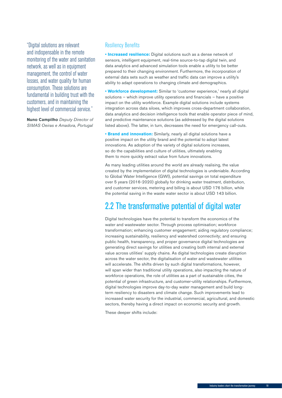<span id="page-16-0"></span>"Digital solutions are relevant and indispensable in the remote monitoring of the water and sanitation network, as well as in equipment management, the control of water losses, and water quality for human consumption. These solutions are fundamental in building trust with the customers, and in maintaining the highest level of commercial service."

**Nuno Campilho** *Deputy Director of SIMAS Oeiras e Amadora, Portugal*

#### Resiliency Benefits

**• Increased resilience:** Digital solutions such as a dense network of sensors, intelligent equipment, real-time source-to-tap digital twin, and data analytics and advanced simulation tools enable a utility to be better prepared to their changing environment. Furthermore, the incorporation of external data sets such as weather and traffic data can improve a utility's ability to adapt operations to changing climate and demographics.

**• Workforce development:** Similar to 'customer experience,' nearly all digital solutions – which improve utility operations and financials – have a positive impact on the utility workforce. Example digital solutions include systems integration across data siloes, which improves cross-department collaboration, data analytics and decision intelligence tools that enable operator piece of mind, and predictive maintenance solutions (as addressed by the digital solutions listed above). The latter, in turn, decreases the need for emergency call-outs.

**• Brand and innovation:** Similarly, nearly all digital solutions have a positive impact on the utility brand and the potential to adopt latest innovations. As adoption of the variety of digital solutions increases, so do the capabilities and culture of utilities, ultimately enabling them to more quickly extract value from future innovations.

As many leading utilities around the world are already realising, the value created by the implementation of digital technologies is undeniable. According to Global Water Intelligence (GWI), potential savings on total expenditure over 5 years (2016-2020) globally for drinking water treatment, distribution, and customer services, metering and billing is about USD 176 billion, while the potential saving in the waste water sector is about USD 143 billion.

## 2.2 The transformative potential of digital water

Digital technologies have the potential to transform the economics of the water and wastewater sector. Through process optimisation; workforce transformation; enhancing customer engagement; aiding regulatory compliance; increasing sustainability, resiliency and watershed connectivity; and ensuring public health, transparency, and proper governance digital technologies are generating direct savings for utilities and creating both internal and external value across utilities' supply chains. As digital technologies create disruption across the water sector, the digitalisation of water and wastewater utilities will accelerate. The shifts driven by such digital transformations, however, will span wider than traditional utility operations, also impacting the nature of workforce operations, the role of utilities as a part of sustainable cities, the potential of green infrastructure, and customer-utility relationships. Furthermore, digital technologies improve day-to-day water management and build longterm resiliency to disasters and climate change. Such improvements lead to increased water security for the industrial, commercial, agricultural, and domestic sectors, thereby having a direct impact on economic security and growth.

These deeper shifts include: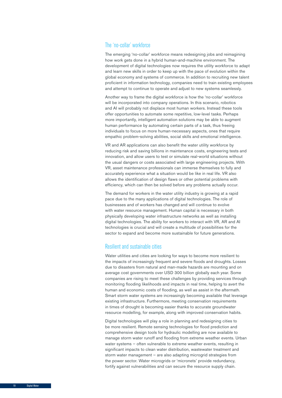#### The 'no-collar' workforce

The emerging 'no-collar' workforce means redesigning jobs and reimagining how work gets done in a hybrid human-and-machine environment. The development of digital technologies now requires the utility workforce to adapt and learn new skills in order to keep up with the pace of evolution within the global economy and systems of commerce. In addition to recruiting new talent proficient in information technology, companies need to train existing employees and attempt to continue to operate and adjust to new systems seamlessly.

Another way to frame the digital workforce is how the 'no-collar' workforce will be incorporated into company operations. In this scenario, robotics and AI will probably not displace most human workers. Instead these tools offer opportunities to automate some repetitive, low-level tasks. Perhaps more importantly, intelligent automation solutions may be able to augment human performance by automating certain parts of a task, thus freeing individuals to focus on more human-necessary aspects, ones that require empathic problem-solving abilities, social skills and emotional intelligence.

VR and AR applications can also benefit the water utility workforce by reducing risk and saving billions in maintenance costs, engineering tests and innovation, and allow users to test or simulate real-world situations without the usual dangers or costs associated with large engineering projects. With VR, asset maintenance professionals can immerse themselves to fully and accurately experience what a situation would be like in real life. VR also allows the identification of design flaws or other potential problems with efficiency, which can then be solved before any problems actually occur.

The demand for workers in the water utility industry is growing at a rapid pace due to the many applications of digital technologies. The role of businesses and of workers has changed and will continue to evolve with water resource management. Human capital is necessary in both physically developing water infrastructure networks as well as installing digital technologies. The ability for workers to interact with VR, AR and AI technologies is crucial and will create a multitude of possibilities for the sector to expand and become more sustainable for future generations.

#### Resilient and sustainable cities

Water utilities and cities are looking for ways to become more resilient to the impacts of increasingly frequent and severe floods and droughts. Losses due to disasters from natural and man-made hazards are mounting and on average cost governments over USD 300 billion globally each year. Some companies are rising to meet these challenges by providing services through monitoring flooding likelihoods and impacts in real time, helping to avert the human and economic costs of flooding, as well as assist in the aftermath. Smart storm water systems are increasingly becoming available that leverage existing infrastructure. Furthermore, meeting conservation requirements in times of drought is becoming easier thanks to accurate groundwater resource modelling, for example, along with improved conservation habits.

Digital technologies will play a role in planning and redesigning cities to be more resilient. Remote sensing technologies for flood prediction and comprehensive design tools for hydraulic modelling are now available to manage storm water runoff and flooding from extreme weather events. Urban water systems – often vulnerable to extreme weather events, resulting in significant impacts to clean water distribution, wastewater treatment and storm water management – are also adapting microgrid strategies from the power sector. Water microgrids or 'micronets' provide redundancy, fortify against vulnerabilities and can secure the resource supply chain.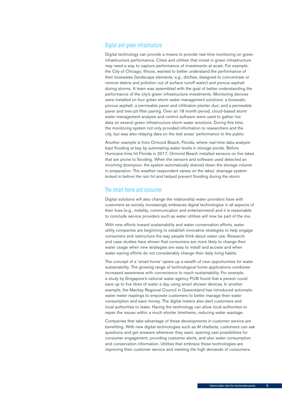#### Digital and green infrastructure

Digital technology can provide a means to provide real-time monitoring on green infrastructure performance. Cities and utilities that invest in green infrastructure may need a way to capture performance of investments at scale. For example, the City of Chicago, Illinois, wanted to better understand the performance of their bioswales (landscape elements, e.g., ditches, designed to concentrate or remove debris and pollution out of surface runoff water) and porous asphalt during storms. A team was assembled with the goal of better understanding the performance of the city's green infrastructure investments. Monitoring devices were installed on four green storm water management solutions: a bioswale; porous asphalt; a permeable paver and infiltration planter duo; and a permeable paver and tree-pit filter pairing. Over an 18 month period, cloud-based storm water management analysis and control software were used to gather live data on several green infrastructure storm water solutions. During this time, the monitoring system not only provided information to researchers and the city, but was also relaying data on the test areas' performance to the public.

Another example is from Ormond Beach, Florida, where real-time data analysis kept flooding at bay by automating water levels in storage ponds. Before Hurricane Irma hit Florida in 2017, Ormond Beach installed sensors on five lakes that are prone to flooding. When the sensors and software used detected an incoming downpour, the system automatically drained down the storage volume in preparation. The weather-respondent valves on the lakes' drainage system kicked in before the rain hit and helped prevent flooding during the storm.

#### The smart home and consumer

Digital solutions will also change the relationship water providers have with customers as society increasingly embraces digital technologies in all aspects of their lives (e.g., mobility, communication and entertainment) and it is reasonable to conclude service providers such as water utilities will now be part of the mix.

With new efforts toward sustainability and water conservation efforts, water utility companies are beginning to establish innovative strategies to help engage consumers and restructure the way people think about water use. Research and case studies have shown that consumers are more likely to change their water usage when new strategies are easy to install and access and when water-saving efforts do not considerably change their daily living habits.

The concept of a 'smart home' opens up a wealth of new opportunities for water sustainability. The growing range of technological home applications combines increased awareness with convenience to reach sustainability. For example, a study by Singapore's national water agency PUB found that a person could save up to five litres of water a day using smart shower devices. In another example, the Mackay Regional Council in Queensland has introduced automatic water meter readings to empower customers to better manage their water consumption and save money. The digital meters also alert customers and local authorities to leaks. Having the technology can allow local authorities to repair the issues within a much shorter timeframe, reducing water wastage.

Companies that take advantage of these developments in customer service are benefiting. With new digital technologies such as AI chatbots, customers can ask questions and get answers whenever they want, opening vast possibilities for consumer engagement, providing customer alerts, and also water consumption and conservation information. Utilities that embrace these technologies are improving their customer service and meeting the high demands of consumers.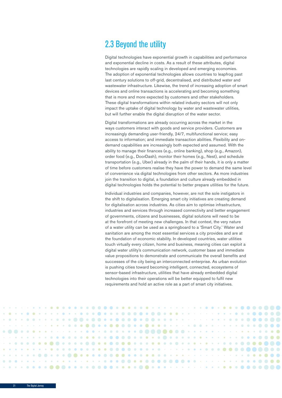## <span id="page-19-0"></span>2.3 Beyond the utility

Digital technologies have exponential growth in capabilities and performance and exponential decline in costs. As a result of these attributes, digital technologies are rapidly scaling in developed and emerging economies. The adoption of exponential technologies allows countries to leapfrog past last century solutions to off-grid, decentralised, and distributed water and wastewater infrastructure. Likewise, the trend of increasing adoption of smart devices and online transactions is accelerating and becoming something that is more and more expected by customers and other stakeholders. These digital transformations within related industry sectors will not only impact the uptake of digital technology by water and wastewater utilities, but will further enable the digital disruption of the water sector.

Digital transformations are already occurring across the market in the ways customers interact with goods and service providers. Customers are increasingly demanding user-friendly, 24/7, multifunctional service; easy access to information; and immediate transaction abilities. Flexibility and ondemand capabilities are increasingly both expected and assumed. With the ability to manage their finances (e.g., online banking), shop (e.g., Amazon), order food (e.g., DoorDash), monitor their homes (e.g., Nest), and schedule transportation (e.g., Uber) already in the palm of their hands, it is only a matter of time before customers realise they have the power to demand the same level of convenience via digital technologies from other sectors. As more industries join the transition to digital, a foundation and culture already embedded in digital technologies holds the potential to better prepare utilities for the future.

Individual industries and companies, however, are not the sole instigators in the shift to digitalisation. Emerging smart city initiatives are creating demand for digitalisation across industries. As cities aim to optimise infrastructure, industries and services through increased connectivity and better engagement of governments, citizens and businesses, digital solutions will need to be at the forefront of meeting new challenges. In that context, the very nature of a water utility can be used as a springboard to a 'Smart City.' Water and sanitation are among the most essential services a city provides and are at the foundation of economic stability. In developed countries, water utilities touch virtually every citizen, home and business, meaning cities can exploit a digital water utility's communication network, customer base and immediate value propositions to demonstrate and communicate the overall benefits and successes of the city being an interconnected enterprise. As urban evolution is pushing cities toward becoming intelligent, connected, ecosystems of sensor-based infrastructure, utilities that have already embedded digital technologies into their operations will be better equipped to fulfil new requirements and hold an active role as a part of smart city initiatives.

|  |  |  |  |  |  |  |  |  |  |  |  |  |  |  |  |  |  |  |  |  | $\cdots\  \, \cdots\  \, \cdots\  \, \cdots\  \, \cdots\  \, \cdots\  \, \cdots\  \, \cdots\  \, \cdots\  \, \cdots\  \, \cdots\  \, \cdots\  \, \cdots\  \, \cdots\  \, \cdots\  \, \cdots\  \, \cdots\  \, \cdots\  \, \cdots\  \, \cdots\  \, \cdots\  \, \cdots\  \, \cdots\  \, \cdots\  \, \cdots\  \, \cdots\  \, \cdots\  \, \cdots\  \, \cdots\  \, \cdots\  \, \cdots\  \, \cdots$ |  |  |
|--|--|--|--|--|--|--|--|--|--|--|--|--|--|--|--|--|--|--|--|--|----------------------------------------------------------------------------------------------------------------------------------------------------------------------------------------------------------------------------------------------------------------------------------------------------------------------------------------------------------------------------------------------|--|--|
|  |  |  |  |  |  |  |  |  |  |  |  |  |  |  |  |  |  |  |  |  |                                                                                                                                                                                                                                                                                                                                                                                              |  |  |
|  |  |  |  |  |  |  |  |  |  |  |  |  |  |  |  |  |  |  |  |  |                                                                                                                                                                                                                                                                                                                                                                                              |  |  |
|  |  |  |  |  |  |  |  |  |  |  |  |  |  |  |  |  |  |  |  |  |                                                                                                                                                                                                                                                                                                                                                                                              |  |  |
|  |  |  |  |  |  |  |  |  |  |  |  |  |  |  |  |  |  |  |  |  |                                                                                                                                                                                                                                                                                                                                                                                              |  |  |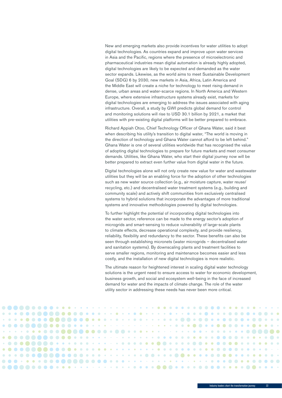New and emerging markets also provide incentives for water utilities to adopt digital technologies. As countries expand and improve upon water services in Asia and the Pacific, regions where the presence of microelectronic and pharmaceutical industries mean digital automation is already highly adopted, digital technologies are likely to be expected and demanded as the water sector expands. Likewise, as the world aims to meet Sustainable Development Goal (SDG) 6 by 2030, new markets in Asia, Africa, Latin America and the Middle East will create a niche for technology to meet rising demand in dense, urban areas and water-scarce regions. In North America and Western Europe, where extensive infrastructure systems already exist, markets for digital technologies are emerging to address the issues associated with aging infrastructure. Overall, a study by GWI predicts global demand for control and monitoring solutions will rise to USD 30.1 billion by 2021, a market that utilities with pre-existing digital platforms will be better prepared to embrace.

Richard Appiah Otoo, Chief Technology Officer of Ghana Water, said it best when describing his utility's transition to digital water, "The world is moving in the direction of technology and Ghana Water cannot afford to be left behind." Ghana Water is one of several utilities worldwide that has recognised the value of adopting digital technologies to prepare for future markets and meet consumer demands. Utilities, like Ghana Water, who start their digital journey now will be better prepared to extract even further value from digital water in the future.

Digital technologies alone will not only create new value for water and wastewater utilities but they will be an enabling force for the adoption of other technologies such as new water source collection (e.g., air moisture capture, water reuse/ recycling, etc.) and decentralised water treatment systems (e.g., building and community scale) and actively shift communities from exclusively centralised systems to hybrid solutions that incorporate the advantages of more traditional systems and innovative methodologies powered by digital technologies.

To further highlight the potential of incorporating digital technologies into the water sector, reference can be made to the energy sector's adoption of microgrids and smart-sensing to reduce vulnerability of large-scale plants to climate effects, decrease operational complexity, and provide resiliency, reliability, flexibility and redundancy to the sector. These benefits can also be seen through establishing micronets (water microgrids – decentralised water and sanitation systems). By downscaling plants and treatment facilities to serve smaller regions, monitoring and maintenance becomes easier and less costly, and the installation of new digital technologies is more realistic.

The ultimate reason for heightened interest in scaling digital water technology solutions is the urgent need to ensure access to water for economic development, business growth, and social and ecosystem well-being in the face of increased demand for water and the impacts of climate change. The role of the water utility sector in addressing these needs has never been more critical.

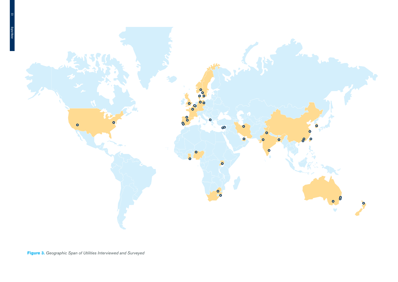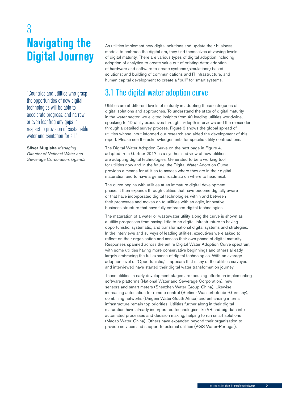## <span id="page-22-0"></span>3 **Navigating the Digital Journey**

"Countries and utilities who grasp the opportunities of new digital technologies will be able to accelerate progress, and narrow or even leapfrog any gaps in respect to provision of sustainable water and sanitation for all."

**Silver Mugisha** *Managing Director of National Water and Sewerage Corporation, Uganda* As utilities implement new digital solutions and update their business models to embrace the digital era, they find themselves at varying levels of digital maturity. There are various types of digital adoption including adoption of analytics to create value out of existing data; adoption of hardware and software to create systems (simulations) based solutions; and building of communications and IT infrastructure, and human capital development to create a "pull" for smart systems.

## 3.1 The digital water adoption curve

Utilities are at different levels of maturity in adopting these categories of digital solutions and approaches. To understand the state of digital maturity in the water sector, we elicited insights from 40 leading utilities worldwide, speaking to 15 utility executives through in-depth interviews and the remainder through a detailed survey process. Figure 3 shows the global spread of utilities whose input informed our research and aided the development of this report. Please see the acknowledgements for specific utility contributions.

The Digital Water Adoption Curve on the next page in Figure 4, adapted from Gartner 2017, is a synthesised view of how utilities are adopting digital technologies. Generated to be a working tool for utilities now and in the future, the Digital Water Adoption Curve provides a means for utilities to assess where they are in their digital maturation and to have a general roadmap on where to head next.

The curve begins with utilities at an immature digital development phase. It then expands through utilities that have become digitally aware or that have incorporated digital technologies within and between their processes and moves on to utilities with an agile, innovative business structure that have fully embraced digital technologies.

The maturation of a water or wastewater utility along the curve is shown as a utility progresses from having little to no digital infrastructure to having opportunistic, systematic, and transformational digital systems and strategies. In the interviews and surveys of leading utilities, executives were asked to reflect on their organisation and assess their own phase of digital maturity. Responses spanned across the entire Digital Water Adoption Curve spectrum, with some utilities having more conservative beginnings and others already largely embracing the full expanse of digital technologies. With an average adoption level of 'Opportunistic,' it appears that many of the utilities surveyed and interviewed have started their digital water transformation journey.

Those utilities in early development stages are focusing efforts on implementing software platforms (National Water and Sewerage Corporation), new sensors and smart meters (Shenzhen Water Group-China). Likewise, increasing automation for remote control (Berliner Wasserbetriebe-Germany), combining networks (Umgeni Water-South Africa) and enhancing internal infrastructure remain top priorities. Utilities further along in their digital maturation have already incorporated technologies like VR and big data into automated processes and decision making, helping to run smart solutions (Macao Water-China). Others have expanded beyond their organisation to provide services and support to external utilities (AGS Water-Portugal).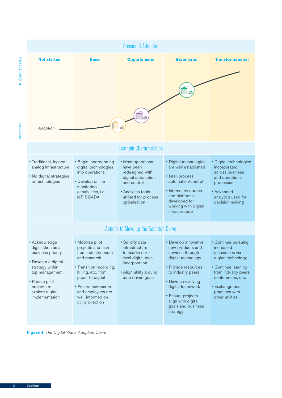

**Figure 4.** *The Digital Water Adoption Curve*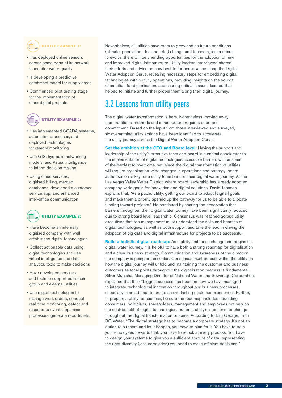## <span id="page-24-0"></span>**UTILITY EXAMPLE 1:**

- Has deployed online sensors across some parts of its network to monitor water quality
- Is developing a predictive catchment model for supply areas
- Commenced pilot testing stage for the implementation of other digital projects

#### **UTILITY EXAMPLE 2:**

- Has implemented SCADA systems, automated processes, and deployed technologies for remote monitoring
- Use GIS, hydraulic networking models, and Virtual Intelligence to inform decision making
- Using cloud services, digitised billing, merged databases, developed a customer service app, and enhanced inter-office communication



- Have become an internally digitised company with well established digital technologies
- Collect actionable data using digital technologies and use virtual intelligence and data analytics tools to make decisions
- Have developed services and tools to support both their group and external utilities
- Use digital technologies to manage work orders, conduct real-time monitoring, detect and respond to events, optimise processes, generate reports, etc.

Nevertheless, all utilities have room to grow and as future conditions (climate, population, demand, etc.) change and technologies continue to evolve, there will be unending opportunities for the adoption of new and improved digital infrastructure. Utility leaders interviewed shared their efforts and advice on how best to further advance along the Digital Water Adoption Curve, revealing necessary steps for embedding digital technologies within utility operations, providing insights on the source of ambition for digitalisation, and sharing critical lessons learned that helped to initiate and further propel them along their digital journey.

## 3.2 Lessons from utility peers

The digital water transformation is here. Nonetheless, moving away from traditional methods and infrastructure requires effort and commitment. Based on the input from those interviewed and surveyed, six overarching utility actions have been identified to accelerate the utility journey across the Digital Water Adoption Curve:

**Set the ambition at the CEO and Board level:** Having the support and leadership of the utility's executive team and board is a critical accelerator to the implementation of digital technologies. Executive barriers will be some of the hardest to overcome, yet, since the digital transformation of utilities will require organisation-wide changes in operations and strategy, board authorisation is key for a utility to embark on their digital water journey. At the Las Vegas Valley Water District, where board leadership has already adopted company-wide goals for innovation and digital solutions, David Johnson explains that, "As a public utility, getting our board to adopt [digital] goals and make them a priority opened up the pathway for us to be able to allocate funding toward projects." He continued by sharing the observation that barriers throughout their digital water journey have been significantly reduced due to strong board level leadership. Consensus was reached across utility executives that top management must understand the risks and benefits of digital technologies, as well as both support and take the lead in driving the adoption of big data and digital infrastructure for projects to be successful.

**Build a holistic digital roadmap:** As a utility embraces change and begins its digital water journey, it is helpful to have both a strong roadmap for digitalisation and a clear business strategy. Communication and awareness of the direction the company is going are essential. Consensus must be built within the utility on how the digital journey will unfold and maintaining the customer and business outcomes as focal points throughout the digitalisation process is fundamental. Silver Mugisha, Managing Director of National Water and Sewerage Corporation, explained that their "biggest success has been on how we have managed to integrate technological innovation throughout our business processes, especially in an attempt to create an everlasting customer experience". Further, to prepare a utility for success, be sure the roadmap includes educating consumers, politicians, shareholders, management and employees not only on the cost-benefit of digital technologies, but on a utility's intentions for change throughout the digital transformation process. According to Biju George, from DC Water, "The digital strategy has to become a corporate strategy. It's not an option to sit there and let it happen, you have to plan for it. You have to train your employees towards that, you have to relook at every process. You have to design your systems to give you a sufficient amount of data, representing the right diversity (less correlation) you need to make efficient decisions."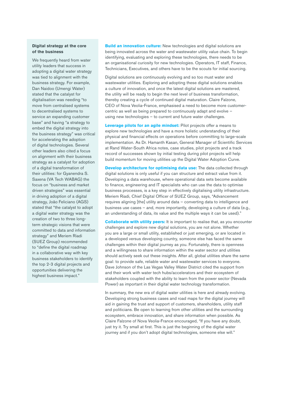#### **Digital strategy at the core of the business**

We frequently heard from water utility leaders that success in adopting a digital water strategy was tied to alignment with the business strategy. For example, Dan Naidoo (Umengi Water) stated that the catalyst for digitalisation was needing "to move from centralised systems to decentralised systems to service an expanding customer base" and having "a strategy to embed the digital strategy into the business strategy" was critical for accelerating the adoption of digital technologies. Several other leaders also cited a focus on alignment with their business strategy as a catalyst for adoption of a digital transformation of their utilities: for Gyanendra S. Saxena (VA Tech WABAG) the focus on "business and market driven strategies" was essential in driving adoption of a digital strategy, João Feliciano (AGS) stated that "the catalyst to adopt a digital water strategy was the creation of two to three longterm strategic visions that were committed to data and information strategy" and Meriem Riadi (SUEZ Group) recommended to "define the digital roadmap in a collaborative way with key business stakeholders to identify the top 2-3 digital projects and opportunities delivering the highest business impact."

**Build an innovation culture:** New technologies and digital solutions are being innovated across the water and wastewater utility value chain. To begin identifying, evaluating and exploring these technologies, there needs to be an organisational curiosity for new technologies. Operators, IT staff, Finance, Technicians, Executives, and others have to be the scouts for initial sourcing.

Digital solutions are continuously evolving and so too must water and wastewater utilities. Exploring and adopting these digital solutions enables a culture of innovation, and once the latest digital solutions are mastered, the utility will be ready to begin the next level of business transformation, thereby creating a cycle of continued digital maturation. Claire Falzone, CEO of Nova Veolia-France, emphasised a need to become more customercentric as well as being prepared to continuously adapt and evolve – using new technologies – to current and future water challenges.

**Leverage pilots for an agile mindset:** Pilot projects offer a means to explore new technologies and have a more holistic understanding of their physical and financial effects on operations before committing to large-scale implementation. As Dr. Hamanth Kasan, General Manager of Scientific Services at Rand Water-South Africa notes, case studies, pilot projects and a track record of successes shown by initial testing during pilot projects will help build momentum for moving utilities up the Digital Water Adoption Curve.

**Develop architecture for optimising data use:** The data collected through digital solutions is only useful if you can structure and extract value from it. Developing a data warehouse, where operational data sets become available to finance, engineering and IT specialists who can use the data to optimise business processes, is a key step in effectively digitalising utility infrastructure. Meriem Riadi, Chief Digital Officer of SUEZ Group, says, "Advancement requires aligning [the] utility around data – converting data to intelligence and business use cases – and, more importantly, developing a culture of data (e.g., an understanding of data, its value and the multiple ways it can be used)."

**Collaborate with utility peers:** It is important to realise that, as you encounter challenges and explore new digital solutions, you are not alone. Whether you are a large or small utility, established or just emerging, or are located in a developed versus developing country, someone else has faced the same challenges within their digital journey as you. Fortunately, there is openness and a willingness to share information within the water sector and utilities should actively seek out these insights. After all, global utilities share the same goal: to provide safe, reliable water and wastewater services to everyone. Dave Johnson of the Las Vegas Valley Water District cited the support from and their work with water tech hubs/accelerators and their ecosystem of stakeholders coupled with the ability to learn from the power sector (Nevada Power) as important in their digital water technology transformation.

In summary, the new era of digital water utilities is here and already evolving. Developing strong business cases and road maps for the digital journey will aid in gaining the trust and support of customers, shareholders, utility staff and politicians. Be open to learning from other utilities and the surrounding ecosystem, embrace innovation, and share information when possible. As Claire Falzone of Nova Veolia-France encouraged, "If you have any doubt, just try it. Try small at first. This is just the beginning of the digital water journey and if you don't adopt digital technologies, someone else will."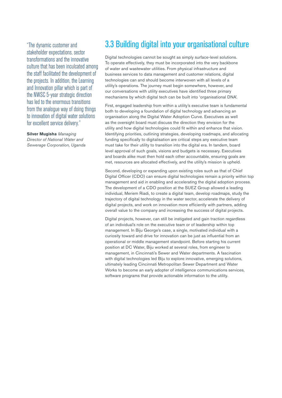<span id="page-26-0"></span>"The dynamic customer and stakeholder expectations, sector transformations and the innovative culture that has been inculcated among the staff facilitated the development of the projects. In addition, the Learning and Innovation pillar which is part of the NWSC 5-year strategic direction has led to the enormous transitions from the analogue way of doing things to innovation of digital water solutions for excellent service delivery."

**Silver Mugisha** *Managing Director of National Water and Sewerage Corporation, Uganda*

## 3.3 Building digital into your organisational culture

Digital technologies cannot be sought as simply surface-level solutions. To operate effectively, they must be incorporated into the very backbone of water and wastewater utilities. From physical infrastructure and business services to data management and customer relations, digital technologies can and should become interwoven with all levels of a utility's operations. The journey must begin somewhere, however, and our conversations with utility executives have identified three primary mechanisms by which digital tech can be built into 'organisational DNA'.

First, engaged leadership from within a utility's executive team is fundamental both to developing a foundation of digital technology and advancing an organisation along the Digital Water Adoption Curve. Executives as well as the oversight board must discuss the direction they envision for the utility and how digital technologies could fit within and enhance that vision. Identifying priorities, outlining strategies, developing roadmaps, and allocating funding specifically to digitalisation are critical steps any executive team must take for their utility to transition into the digital era. In tandem, board level approval of such goals, visions and budgets is necessary. Executives and boards alike must then hold each other accountable, ensuring goals are met, resources are allocated effectively, and the utility's mission is upheld.

Second, developing or expanding upon existing roles such as that of Chief Digital Officer (CDO) can ensure digital technologies remain a priority within top management and aid in enabling and accelerating the digital adoption process. The development of a CDO position at the SUEZ Group allowed a leading individual, Meriem Riadi, to create a digital team, develop roadmaps, study the trajectory of digital technology in the water sector, accelerate the delivery of digital projects, and work on innovation more efficiently with partners, adding overall value to the company and increasing the success of digital projects.

Digital projects, however, can still be instigated and gain traction regardless of an individual's role on the executive team or of leadership within top management. In Biju George's case, a single, motivated individual with a curiosity toward and drive for innovation can be just as influential from an operational or middle management standpoint. Before starting his current position at DC Water, Biju worked at several roles, from engineer to management, in Cincinnati's Sewer and Water departments. A fascination with digital technologies led Biju to explore innovative, emerging solutions, ultimately leading Cincinnati Metropolitan Sewer Department and Water Works to become an early adopter of intelligence communications services, software programs that provide actionable information to the utility.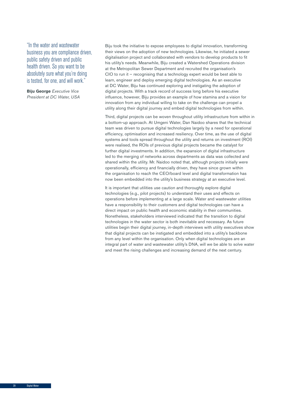"In the water and wastewater business you are compliance driven, public safety driven and public health driven. So you want to be absolutely sure what you're doing is tested, for one, and will work."

**Biju George** *Executive Vice President at DC Water, USA* Biju took the initiative to expose employees to digital innovation, transforming their views on the adoption of new technologies. Likewise, he initiated a sewer digitalisation project and collaborated with vendors to develop products to fit his utility's needs. Meanwhile, Biju created a Watershed Operations division at the Metropolitan Sewer Department and recruited the organisation's CIO to run it – recognising that a technology expert would be best able to learn, engineer and deploy emerging digital technologies. As an executive at DC Water, Biju has continued exploring and instigating the adoption of digital projects. With a track record of success long before his executive influence, however, Biju provides an example of how stamina and a vision for innovation from any individual willing to take on the challenge can propel a utility along their digital journey and embed digital technologies from within.

Third, digital projects can be woven throughout utility infrastructure from within in a bottom-up approach. At Umgeni Water, Dan Naidoo shares that the technical team was driven to pursue digital technologies largely by a need for operational efficiency, optimisation and increased resiliency. Over time, as the use of digital systems and tools spread throughout the utility and returns on investment (ROI) were realised, the ROIs of previous digital projects became the catalyst for further digital investments. In addition, the expansion of digital infrastructure led to the merging of networks across departments as data was collected and shared within the utility. Mr. Naidoo noted that, although projects initially were operationally, efficiency and financially driven, they have since grown within the organisation to reach the CEO/board level and digital transformation has now been embedded into the utility's business strategy at an executive level.

It is important that utilities use caution and thoroughly explore digital technologies (e.g., pilot projects) to understand their uses and effects on operations before implementing at a large scale. Water and wastewater utilities have a responsibility to their customers and digital technologies can have a direct impact on public health and economic stability in their communities. Nonetheless, stakeholders interviewed indicated that the transition to digital technologies in the water sector is both inevitable and necessary. As future utilities begin their digital journey, in-depth interviews with utility executives show that digital projects can be instigated and embedded into a utility's backbone from any level within the organisation. Only when digital technologies are an integral part of water and wastewater utility's DNA, will we be able to solve water and meet the rising challenges and increasing demand of the next century.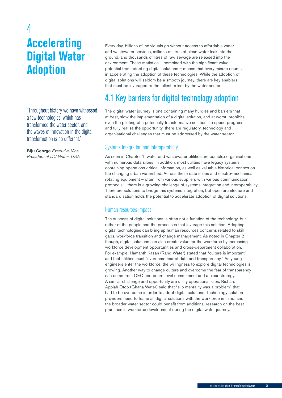## <span id="page-28-0"></span>4 **Accelerating Digital Water Adoption**

"Throughout history we have witnessed a few technologies, which has transformed the water sector, and the waves of innovation in the digital transformation is no different."

**Biju George** *Executive Vice President at DC Water, USA* Every day, billions of individuals go without access to affordable water and wastewater services, millions of litres of clean water leak into the ground, and thousands of litres of raw sewage are released into the environment. These statistics – combined with the significant value potential from adopting digital solutions – means that every minute counts in accelerating the adoption of these technologies. While the adoption of digital solutions will seldom be a smooth journey, there are key enablers that must be leveraged to the fullest extent by the water sector.

## 4.1 Key barriers for digital technology adoption

The digital water journey is one containing many hurdles and barriers that at best, slow the implementation of a digital solution, and at worst, prohibits even the piloting of a potentially transformative solution. To speed progress and fully realise the opportunity, there are regulatory, technology and organisational challenges that must be addressed by the water sector.

#### Systems integration and interoperability

As seen in Chapter 1, water and wastewater utilities are complex organisations with numerous data siloes. In addition, most utilities have legacy systems containing operations critical information, as well as valuable historical context on the changing urban watershed. Across these data siloes and electro-mechanical rotating equipment – often from various suppliers with various communication protocols – there is a growing challenge of systems integration and interoperability. There are solutions to bridge this systems integration, but open architecture and standardisation holds the potential to accelerate adoption of digital solutions.

#### Human resources impact

The success of digital solutions is often not a function of the technology, but rather of the people and the processes that leverage this solution. Adopting digital technologies can bring up human resources concerns related to skill gaps, workforce transition and change management. As noted in Chapter 2 though, digital solutions can also create value for the workforce by increasing workforce development opportunities and cross-department collaboration. For example, Hamanth Kasan (Rand Water) stated that "culture is important" and that utilities must "overcome fear of data and transparency." As young engineers enter the workforce, the willingness to explore digital technologies is growing. Another way to change culture and overcome the fear of transparency can come from CEO and board level commitment and a clear strategy. A similar challenge and opportunity are utility operational silos. Richard Appiah Otoo (Ghana Water) said that "silo mentality was a problem" that had to be overcome in order to adopt digital solutions. Technology solution providers need to frame all digital solutions with the workforce in mind, and the broader water sector could benefit from additional research on the best practices in workforce development during the digital water journey.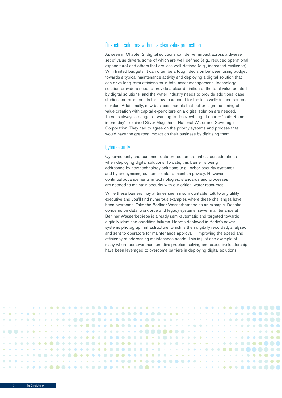#### Financing solutions without a clear value proposition

As seen in Chapter 2, digital solutions can deliver impact across a diverse set of value drivers, some of which are well-defined (e.g., reduced operational expenditure) and others that are less well-defined (e.g., increased resilience). With limited budgets, it can often be a tough decision between using budget towards a typical maintenance activity and deploying a digital solution that can drive long-term efficiencies in total asset management. Technology solution providers need to provide a clear definition of the total value created by digital solutions, and the water industry needs to provide additional case studies and proof points for how to account for the less well-defined sources of value. Additionally, new business models that better align the timing of value creation with capital expenditure on a digital solution are needed. There is always a danger of wanting to do everything at once – 'build Rome in one day' explained Silver Mugisha of National Water and Sewerage Corporation. They had to agree on the priority systems and process that would have the greatest impact on their business by digitising them.

#### **Cybersecurity**

Cyber-security and customer data protection are critical considerations when deploying digital solutions. To date, this barrier is being addressed by new technology solutions (e.g., cyber-security systems) and by anonymising customer data to maintain privacy. However, continual advancements in technologies, standards and processes are needed to maintain security with our critical water resources.

While these barriers may at times seem insurmountable, talk to any utility executive and you'll find numerous examples where these challenges have been overcome. Take the Berliner Wasserbetriebe as an example. Despite concerns on data, workforce and legacy systems, sewer maintenance at Berliner Wasserbetriebe is already semi-automatic and targeted towards digitally identified condition failures. Robots deployed in Berlin's sewer systems photograph infrastructure, which is then digitally recorded, analysed and sent to operators for maintenance approval – improving the speed and efficiency of addressing maintenance needs. This is just one example of many where perseverance, creative problem solving and executive leadership have been leveraged to overcome barriers in deploying digital solutions.

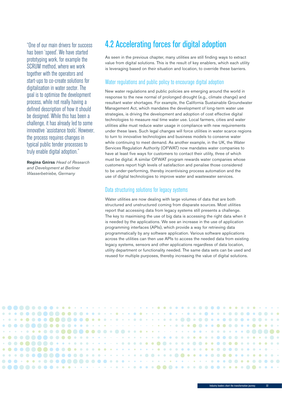<span id="page-30-0"></span>"One of our main drivers for success has been 'speed'. We have started prototyping work, for example the SCRUM method, where we work together with the operators and start-ups to co-create solutions for digitalisation in water sector. The goal is to optimise the development process, while not really having a defined description of how it should be designed. While this has been a challenge, it has already led to some innovative 'assistance tools'. However, the process requires changes in typical public tender processes to truly enable digital adoption."

**Regina Gnirss** *Head of Research and Development at Berliner Wasserbetriebe, Germany*

## 4.2 Accelerating forces for digital adoption

As seen in the previous chapter, many utilities are still finding ways to extract value from digital solutions. This is the result of key enablers, which each utility is leveraging based on their situation and location, to override these barriers.

#### Water regulations and public policy to encourage digital adoption

New water regulations and public policies are emerging around the world in response to the new normal of prolonged drought (e.g., climate change) and resultant water shortages. For example, the California Sustainable Groundwater Management Act, which mandates the development of long-term water use strategies, is driving the development and adoption of cost effective digital technologies to measure real time water use. Local farmers, cities and water utilities alike must reduce water usage in compliance with new requirements under these laws. Such legal changes will force utilities in water scarce regions to turn to innovative technologies and business models to conserve water while continuing to meet demand. As another example, in the UK, the Water Services Regulation Authority (OFWAT) now mandates water companies to have at least five ways for customers to contact their utility, three of which must be digital. A similar OFWAT program rewards water companies whose customers report high levels of satisfaction and penalise those considered to be under-performing, thereby incentivising process automation and the use of digital technologies to improve water and wastewater services.

#### Data structuring solutions for legacy systems

Water utilities are now dealing with large volumes of data that are both structured and unstructured coming from disparate sources. Most utilities report that accessing data from legacy systems still presents a challenge. The key to maximising the use of big data is accessing the right data when it is needed by the applications. We see an increase in the use of application programming interfaces (APIs), which provide a way for retrieving data programmatically by any software application. Various software applications across the utilities can then use APIs to access the needed data from existing legacy systems, sensors and other applications regardless of data location, utility department or functionality needed. The same data sets can be used and reused for multiple purposes, thereby increasing the value of digital solutions.

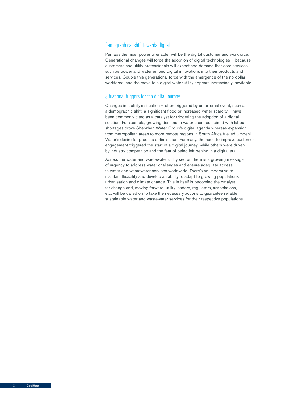#### Demographical shift towards digital

Perhaps the most powerful enabler will be the digital customer and workforce. Generational changes will force the adoption of digital technologies – because customers and utility professionals will expect and demand that core services such as power and water embed digital innovations into their products and services. Couple this generational force with the emergence of the no-collar workforce, and the move to a digital water utility appears increasingly inevitable.

#### Situational triggers for the digital journey

Changes in a utility's situation – often triggered by an external event, such as a demographic shift, a significant flood or increased water scarcity – have been commonly cited as a catalyst for triggering the adoption of a digital solution. For example, growing demand in water users combined with labour shortages drove Shenzhen Water Group's digital agenda whereas expansion from metropolitan areas to more remote regions in South Africa fuelled Umgeni Water's desire for process optimisation. For many, the need to improve customer engagement triggered the start of a digital journey, while others were driven by industry competition and the fear of being left behind in a digital era.

Across the water and wastewater utility sector, there is a growing message of urgency to address water challenges and ensure adequate access to water and wastewater services worldwide. There's an imperative to maintain flexibility and develop an ability to adapt to growing populations, urbanisation and climate change. This in itself is becoming the catalyst for change and, moving forward, utility leaders, regulators, associations, etc. will be called on to take the necessary actions to guarantee reliable, sustainable water and wastewater services for their respective populations.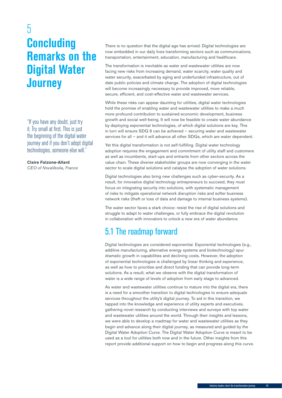## <span id="page-32-0"></span>5 **Concluding Remarks on the Digital Water Journey**

"If you have any doubt, just try it. Try small at first. This is just the beginning of the digital water journey and if you don't adopt digital technologies, someone else will."

#### **Claire Falzone-Allard**

*CEO of NovaVeolia, France*

There is no question that the digital age has arrived. Digital technologies are now embedded in our daily lives transforming sectors such as communications, transportation, entertainment, education, manufacturing and healthcare.

The transformation is inevitable as water and wastewater utilities are now facing new risks from increasing demand, water scarcity, water quality and water security, exacerbated by aging and underfunded infrastructure, out of date public policies and climate change. The adoption of digital technologies will become increasingly necessary to provide improved, more reliable, secure, efficient, and cost-effective water and wastewater services.

While these risks can appear daunting for utilities, digital water technologies hold the promise of enabling water and wastewater utilities to make a much more profound contribution to sustained economic development, business growth and social well-being. It will now be feasible to create water abundance by deploying exponential technologies, of which digital solutions are key. This in turn will ensure SDG 6 can be achieved – securing water and wastewater services for all – and it will advance all other SDGs, which are water dependent.

Yet this digital transformation is not self-fulfilling. Digital water technology adoption requires the engagement and commitment of utility staff and customers as well as incumbents, start-ups and entrants from other sectors across the value chain. These diverse stakeholder groups are now converging in the water sector to scale digital solutions and catalyse the adoption of water solutions.

Digital technologies also bring new challenges such as cyber-security. As a result, for innovative digital technology entrepreneurs to succeed, they must focus on integrating security into solutions, with systematic management of risks to mitigate operational network disruption risks and softer business network risks (theft or loss of data and damage to internal business systems).

The water sector faces a stark choice: resist the rise of digital solutions and struggle to adapt to water challenges, or fully embrace the digital revolution in collaboration with innovators to unlock a new era of water abundance.

## 5.1 The roadmap forward

Digital technologies are considered exponential. Exponential technologies (e.g., additive manufacturing, alternative energy systems and biotechnology) spur dramatic growth in capabilities and declining costs. However, the adoption of exponential technologies is challenged by linear thinking and experience, as well as how to prioritise and direct funding that can provide long-term solutions. As a result, what we observe with the digital transformation of water is a wide range of levels of adoption from early stage to advanced.

As water and wastewater utilities continue to mature into the digital era, there is a need for a smoother transition to digital technologies to ensure adequate services throughout the utility's digital journey. To aid in this transition, we tapped into the knowledge and experience of utility experts and executives, gathering novel research by conducting interviews and surveys with top water and wastewater utilities around the world. Through their insights and lessons, we were able to develop a roadmap for water and wastewater utilities as they begin and advance along their digital journey, as measured and guided by the Digital Water Adoption Curve. The Digital Water Adoption Curve is meant to be used as a tool for utilities both now and in the future. Other insights from this report provide additional support on how to begin and progress along this curve.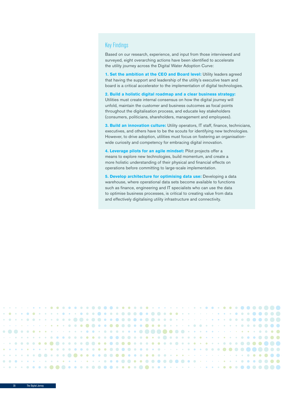#### Key Findings

Based on our research, experience, and input from those interviewed and surveyed, eight overarching actions have been identified to accelerate the utility journey across the Digital Water Adoption Curve:

1. Set the ambition at the CEO and Board level: Utility leaders agreed that having the support and leadership of the utility's executive team and board is a critical accelerator to the implementation of digital technologies.

**2. Build a holistic digital roadmap and a clear business strategy:**  Utilities must create internal consensus on how the digital journey will unfold, maintain the customer and business outcomes as focal points throughout the digitalisation process, and educate key stakeholders (consumers, politicians, shareholders, management and employees).

**3. Build an innovation culture:** Utility operators, IT staff, finance, technicians, executives, and others have to be the scouts for identifying new technologies. However, to drive adoption, utilities must focus on fostering an organisationwide curiosity and competency for embracing digital innovation.

**4. Leverage pilots for an agile mindset:** Pilot projects offer a means to explore new technologies, build momentum, and create a more holistic understanding of their physical and financial effects on operations before committing to large-scale implementation.

**5. Develop architecture for optimising data use:** Developing a data warehouse, where operational data sets become available to functions such as finance, engineering and IT specialists who can use the data to optimise business processes, is critical to creating value from data and effectively digitalising utility infrastructure and connectivity.

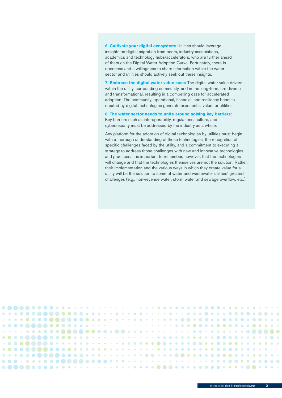**6. Cultivate your digital ecosystem:** Utilities should leverage insights on digital migration from peers, industry associations, academics and technology hubs/accelerators, who are further ahead of them on the Digital Water Adoption Curve. Fortunately, there is openness and a willingness to share information within the water sector and utilities should actively seek out these insights.

**7. Embrace the digital water value case:** The digital water value drivers within the utility, surrounding community, and in the long-term, are diverse and transformational, resulting in a compelling case for accelerated adoption. The community, operational, financial, and resiliency benefits created by digital technologies generate exponential value for utilities.

#### **8. The water sector needs to unite around solving key barriers:**

Key barriers such as interoperability, regulations, culture, and cybersecurity must be addressed by the industry as a whole.

Any platform for the adoption of digital technologies by utilities must begin with a thorough understanding of those technologies, the recognition of specific challenges faced by the utility, and a commitment to executing a strategy to address those challenges with new and innovative technologies and practices. It is important to remember, however, that the technologies will change and that the technologies themselves are not the solution. Rather, their implementation and the various ways in which they create value for a utility will be the solution to some of water and wastewater utilities' greatest challenges (e.g., non-revenue water, storm water and sewage overflow, etc.).

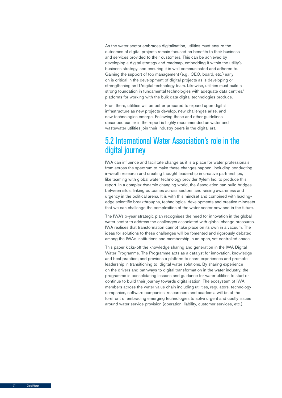<span id="page-35-0"></span>As the water sector embraces digitalisation, utilities must ensure the outcomes of digital projects remain focused on benefits to their business and services provided to their customers. This can be achieved by developing a digital strategy and roadmap, embedding it within the utility's business strategy, and ensuring it is well communicated and adhered to. Gaining the support of top management (e.g., CEO, board, etc.) early on is critical in the development of digital projects as is developing or strengthening an IT/digital technology team. Likewise, utilities must build a strong foundation in fundamental technologies with adequate data centres/ platforms for working with the bulk data digital technologies produce.

From there, utilities will be better prepared to expand upon digital infrastructure as new projects develop, new challenges arise, and new technologies emerge. Following these and other guidelines described earlier in the report is highly recommended as water and wastewater utilities join their industry peers in the digital era.

## 5.2 International Water Association's role in the digital journey

IWA can influence and facilitate change as it is a place for water professionals from across the spectrum to make these changes happen, including conducting in-depth research and creating thought leadership in creative partnerships, like teaming with global water technology provider Xylem Inc. to produce this report. In a complex dynamic changing world, the Association can build bridges between silos, linking outcomes across sectors, and raising awareness and urgency in the political arena. It is with this mindset and combined with leadingedge scientific breakthroughs, technological developments and creative mindsets that we can challenge the complexities of the water sector now and in the future.

The IWA's 5-year strategic plan recognises the need for innovation in the global water sector to address the challenges associated with global change pressures. IWA realises that transformation cannot take place on its own in a vacuum. The ideas for solutions to these challenges will be fomented and rigorously debated among the IWA's institutions and membership in an open, yet controlled space.

This paper kicks-off the knowledge sharing and generation in the IWA Digital Water Programme. The Programme acts as a catalyst for innovation, knowledge and best practice; and provides a platform to share experiences and promote leadership in transitioning to digital water solutions. By sharing experience on the drivers and pathways to digital transformation in the water industry, the programme is consolidating lessons and guidance for water utilities to start or continue to build their journey towards digitalisation. The ecosystem of IWA members across the water value chain including utilities, regulators, technology companies, software companies, researchers and academia will be at the forefront of embracing emerging technologies to solve urgent and costly issues around water service provision (operation, liability, customer services, etc.).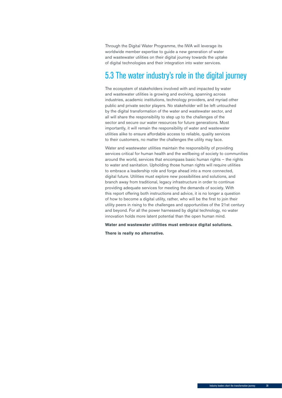<span id="page-36-0"></span>Through the Digital Water Programme, the IWA will leverage its worldwide member expertise to guide a new generation of water and wastewater utilities on their digital journey towards the uptake of digital technologies and their integration into water services.

## 5.3 The water industry's role in the digital journey

The ecosystem of stakeholders involved with and impacted by water and wastewater utilities is growing and evolving, spanning across industries, academic institutions, technology providers, and myriad other public and private sector players. No stakeholder will be left untouched by the digital transformation of the water and wastewater sector, and all will share the responsibility to step up to the challenges of the sector and secure our water resources for future generations. Most importantly, it will remain the responsibility of water and wastewater utilities alike to ensure affordable access to reliable, quality services to their customers, no matter the challenges the utility may face.

Water and wastewater utilities maintain the responsibility of providing services critical for human health and the wellbeing of society to communities around the world, services that encompass basic human rights – the rights to water and sanitation. Upholding those human rights will require utilities to embrace a leadership role and forge ahead into a more connected, digital future. Utilities must explore new possibilities and solutions, and branch away from traditional, legacy infrastructure in order to continue providing adequate services for meeting the demands of society. With this report offering both instructions and advice, it is no longer a question of how to become a digital utility, rather, who will be the first to join their utility peers in rising to the challenges and opportunities of the 21st century and beyond. For all the power harnessed by digital technology, no water innovation holds more latent potential than the open human mind.

**Water and wastewater utilities must embrace digital solutions.** 

**There is really no alternative.**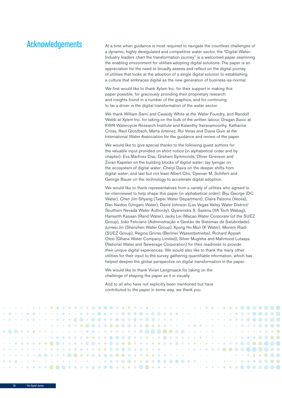### Acknowledgements

At a time when guidance is most required to navigate the countless challenges of a dynamic, highly deregulated and competitive water sector, the "Digital Water: Industry leaders chart the transformation journey" is a welcomed paper examining the enabling environment for utilities adopting digital solutions. The paper is an appreciation for the need to broadly assess and reflect on the digital journey of utilities that looks at the adoption of a single digital solution to establishing a culture that embraces digital as the new generation of business-as-normal.

We first would like to thank Xylem Inc. for their support in making this paper possible, for graciously providing their proprietary research and insights found in a number of the graphics, and for continuing to be a driver in the digital transformation of the water sector.

We thank William Sarni and Cassidy White at the Water Foundry, and Randolf Webb at Xylem Inc. for taking on the bulk of the written labour, Dragan Savic at KWR Watercycle Research Institute and Kalanithy Vairavamoorthy, Katharine Cross, Raul Glotzbach, Marta Jimenez, Rui Veras and Diana Guio at the International Water Association for the guidance and review of the paper.

We would like to give special thanks to the following guest authors for the valuable input provided on short notice (in alphabetical order and by chapter): Eva Martinez Diaz, Graham Symmonds, Oliver Grievson and Zoran Kapelan on the building blocks of digital water; Jay Iyengar on the ecosystem of digital water; Cheryl Davis on the deeper shifts from digital water; and last but not least Albert Cho, Djeevan M. Schiferli and George Bauer on the technology to accelerate digital adoption.

We would like to thank representatives from a variety of utilities who agreed to be interviewed to help shape this paper (in alphabetical order): Biju George (DC Water), Chen Jiin-Shyang (Taipei Water Department), Claire Falzone (Veolia), Dan Naidoo (Umgeni Water), David Johnson (Las Vegas Valley Water District/ Southern Nevada Water Authority), Gyanendra S. Saxena (VA Tech Wabag), Hamanth Kasaan (Rand Water), Jacky Lei (Macao Water Corporate (of the SUEZ Group), João Feliciano (Administração e Gestão de Sistemas de Salubridade), Junwei Jin (Shenzhen Water Group), Kyong Ho Mun (K Water), Meriem Riadi (SUEZ Group), Regina Gnirss (Berliner Wasserbetriebe), Richard Appiah Otoo (Ghana Water Company Limited), Silver Mugisha and Mahmood Lutaaya (National Water and Sewerage Corporation) for their readiness to provide their unique digital experiences. We would also like to thank the many other utilities for their input to the survey gathering quantifiable information, which has helped deepen the global perspective on digital transformation in the paper.

We would like to thank Vivian Langmaack for taking on the challenge of shaping the paper as it is visually.

And to all who have not explicitly been mentioned but have contributed to the paper in some way, we thank you.

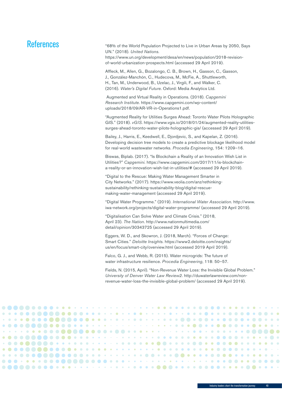## References

| ences | "68% of the World Population Projected to Live in Urban Areas by 2050, Says<br>UN." (2018). United Nations.<br>https://www.un.org/development/desa/en/news/population/2018-revision-<br>of-world-urbanization-prospects.html (accessed 29 April 2019).                              |
|-------|-------------------------------------------------------------------------------------------------------------------------------------------------------------------------------------------------------------------------------------------------------------------------------------|
|       | Affleck, M., Allen, G., Bozalongo, C. B., Brown, H., Gasson, C., Gasson,<br>J., González-Manchón, C., Hudecova, M., McFie, A., Shuttleworth,<br>H., Tan, M., Underwood, B., Uzelac, J., Virgili, F., and Walker, C.<br>(2016). Water's Digital Future. Oxford: Media Analytics Ltd. |
|       | Augmented and Virtual Reality in Operations. (2018). Capgemini<br>Research Institute. https://www.capgemini.com/wp-content/<br>uploads/2018/09/AR-VR-in-Operations1.pdf.                                                                                                            |
|       | "Augmented Reality for Utilities Surges Ahead: Toronto Water Pilots Holographic<br>GIS." (2018). vG/S. https://www.vgis.io/2018/01/24/augmented-reality-utilities-<br>surges-ahead-toronto-water-pilots-holographic-gis/ (accessed 29 April 2019).                                  |
|       | Bailey, J., Harris, E., Keedwell, E., Djordjevic, S., and Kapelan, Z. (2016).<br>Developing decision tree models to create a predictive blockage likelihood model<br>for real-world wastewater networks. Procedia Engineering, 154: 1209-16.                                        |
|       | Biswas, Biplab. (2017). "Is Blockchain a Reality of an Innovation Wish List in<br>Utilities?" Capgemini. https://www.capgemini.com/2017/11/is-blockchain-<br>a-reality-or-an-innovation-wish-list-in-utilities/# (accessed 29 April 2019).                                          |
|       | "Digital to the Rescue: Making Water Management Smarter in<br>City Networks." (2017). https://www.veolia.com/anz/rethinking-<br>sustainability/rethinking-sustainability-blog/digital-rescue-<br>making-water-management (accessed 29 April 2019).                                  |
|       | "Digital Water Programme." (2019). International Water Association. http://www.<br>iwa-network.org/projects/digital-water-programme/ (accessed 29 April 2019).                                                                                                                      |
|       | "Digitalisation Can Solve Water and Climate Crisis." (2018,<br>April 23). The Nation. http://www.nationmultimedia.com/<br>detail/opinion/30343725 (accessed 29 April 2019).                                                                                                         |
|       | Eggers, W. D., and Skowron, J. (2018, March). "Forces of Change:<br>Smart Cities." Deloitte Insights. https://www2.deloitte.com/insights/<br>us/en/focus/smart-city/overview.html (accessed 2019 April 2019).                                                                       |
|       |                                                                                                                                                                                                                                                                                     |

Falco, G. J., and Webb, R. (2015). Water microgrids: The future of water infrastructure resilience. *Procedia Engineering*, 118: 50–57.

Fields, N. (2015, April). "Non-Revenue Water Loss: the Invisible Global Problem." *University of Denver Water Law Review2*. http://duwaterlawreview.com/nonrevenue-water-loss-the-invisible-global-problem/ (accessed 29 April 2019).

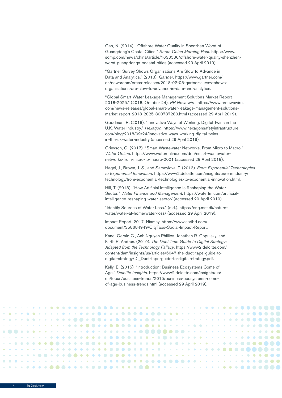Gan, N. (2014). "Offshore Water Quality in Shenzhen Worst of Guangdong's Costal Cities." *South China Morning Post*. https://www. scmp.com/news/china/article/1633536/offshore-water-quality-shenzhenworst-guangdongs-coastal-cities (accessed 29 April 2019).

"Gartner Survey Shows Organizations Are Slow to Advance in Data and Analytics." (2018). *Gartner*. https://www.gartner.com/ en/newsroom/press-releases/2018-02-05-gartner-survey-showsorganizations-are-slow-to-advance-in-data-and-analytics.

"Global Smart Water Leakage Management Solutions Market Report 2018-2025." (2018, October 24). *PR Newswire*. https://www.prnewswire. com/news-releases/global-smart-water-leakage-management-solutionsmarket-report-2018-2025-300737280.html (accessed 29 April 2019).

Goodman, R. (2018). "Innovative Ways of Working: Digital Twins in the U.K. Water Industry." *Hexagon*. https://www.hexagonsafetyinfrastructure. com/blog/2018/09/24/innovative-ways-working-digital-twinsin-the-uk-water-industry (accessed 29 April 2019).

Grievson, O. (2017). "Smart Wastewater Networks, From Micro to Macro." *Water Online*. https://www.wateronline.com/doc/smart-wastewaternetworks-from-micro-to-macro-0001 (accessed 29 April 2019).

Hagel, J., Brown, J. S., and Samoylova, T. (2013). *From Exponential Technologies to Exponential Innovation*. https://www2.deloitte.com/insights/us/en/industry/ technology/from-exponential-technologies-to-exponential-innovation.html.

Hill, T. (2018). "How Artificial Intelligence Is Reshaping the Water Sector." *Water Finance and Management*. https://waterfm.com/artificialintelligence-reshaping-water-sector/ (accessed 29 April 2019).

"Identify Sources of Water Loss." (n.d.). https://eng.mst.dk/naturewater/water-at-home/water-loss/ (accessed 29 April 2019).

Impact Report. 2017. Niamey. https://www.scribd.com/ document/358684949/CityTaps-Social-Impact-Report.

Kane, Gerald C., Anh Nguyen Phillips, Jonathan R. Copulsky, and Farth R. Andrus. (2019). *The Duct Tape Guide to Digital Strategy: Adapted from the Technology Fallacy*. https://www2.deloitte.com/ content/dam/insights/us/articles/5047-the-duct-tape-guide-todigital-strategy/DI\_Duct-tape-guide-to-digital-strategy.pdf.

Kelly, E. (2015). "Introduction: Business Ecosystems Come of Age." *Deloitte Insights*. https://www2.deloitte.com/insights/us/ en/focus/business-trends/2015/business-ecosystems-comeof-age-business-trends.html (accessed 29 April 2019).

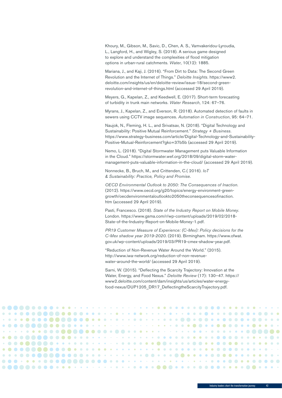Khoury, M., Gibson, M., Savic, D., Chen, A. S., Vamvakeridou-Lyroudia, L., Langford, H., and Wigley, S. (2018). A serious game designed to explore and understand the complexities of flood mitigation options in urban-rural catchments. *Water*, 10(12): 1885.

Mariana, J., and Kaji, J. (2016). "From Dirt to Data: The Second Green Revolution and the Internet of Things." *Deloitte Insights*. https://www2. deloitte.com/insights/us/en/deloitte-review/issue-18/second-greenrevolution-and-internet-of-things.html (accessed 29 April 2019).

Meyers, G., Kapelan, Z., and Keedwell, E. (2017). Short-term forecasting of turbidity in trunk main networks. *Water Research*, 124: 67–76.

Myrans, J., Kapelan, Z., and Everson, R. (2018). Automated detection of faults in sewers using CCTV image sequences. *Automation in Construction*, 95: 64–71.

Naujok, N., Fleming, H. L., and Srivatsav, N. (2018). "Digital Technology and Sustainability: Positive Mutual Reinforcement." *Strategy + Business*. https://www.strategy-business.com/article/Digital-Technology-and-Sustainability-Positive-Mutual-Reinforcement?gko=37b5b (accessed 29 April 2019).

Nemo, L. (2018). "Digital Stormwater Management puts Valuable Information in the Cloud." https://stormwater.wef.org/2018/09/digital-storm-watermanagement-puts-valuable-information-in-the-cloud/ (accessed 29 April 2019).

Nonnecke, B., Bruch, M., and Crittenden, C.( 2016). *IoT & Sustainability: Practice, Policy and Promise*.

*OECD Environmental Outlook to 2050: The Consequences of Inaction*. (2012). https://www.oecd.org/g20/topics/energy-environment-greengrowth/oecdenvironmentaloutlookto2050theconsequencesofinaction. htm (accessed 29 April 2019).

Pasti, Francesco. (2018). *State of the Industry Report on Mobile Money*. London. https://www.gsma.com/r/wp-content/uploads/2019/02/2018- State-of-the-Industry-Report-on-Mobile-Money-1.pdf.

*PR19 Customer Measure of Experience: (C-Mex): Policy decisions for the C-Mex shadow year 2019-2020*. (2019). Birmingham. https://www.ofwat. gov.uk/wp-content/uploads/2019/03/PR19-cmex-shadow-year.pdf.

"Reduction of Non-Revenue Water Around the World." (2015). http://www.iwa-network.org/reduction-of-non-revenuewater-around-the-world/ (accessed 29 April 2019).

Sarni, W. (2015). "Deflecting the Scarcity Trajectory: Innovation at the Water, Energy, and Food Nexus." *Deloitte Review* (17): 130–47. https:// www2.deloitte.com/content/dam/insights/us/articles/water-energyfood-nexus/DUP1205\_DR17\_DeflectingtheScarcityTrajectory.pdf.



Industry leaders chart the transformation journey 42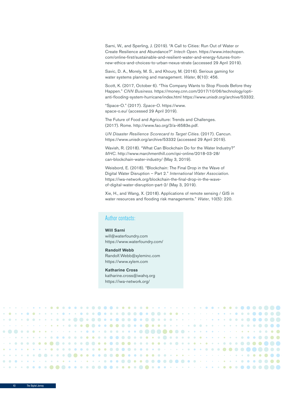Sarni, W., and Sperling, J. (2019). "A Call to Cities: Run Out of Water or Create Resilience and Abundance?" *Intech Open*. https://www.intechopen. com/online-first/sustainable-and-resilient-water-and-energy-futures-fromnew-ethics-and-choices-to-urban-nexus-strate (accessed 29 April 2019).

Savic, D. A., Morely, M. S., and Khoury, M. (2016). Serious gaming for water systems planning and management. *Water*, 8(10): 456.

Scott, K. (2017, October 6). "This Company Wants to Stop Floods Before they Happen." *CNN Business*. https://money.cnn.com/2017/10/06/technology/optianti-flooding-system-hurricane/index.html https://www.unisdr.org/archive/53332.

"Space-O." (2017). *Space-O*. https://www. space-o.eu/ (accessed 29 April 2019).

The Future of Food and Agriculture: Trends and Challenges. (2017). Rome. http://www.fao.org/3/a-i6583e.pdf.

*UN Disaster Resilience Scorecard to Target Cities*. (2017). Cancun. https://www.unisdr.org/archive/53332 (accessed 29 April 2019).

Wavish, R. (2018). "What Can Blockchain Do for the Water Industry?" *MHC*. http://www.marchmenthill.com/qsi-online/2018-03-28/ can-blockchain-water-industry/ (May 3, 2019).

Weisbord, E. (2018). "Blockchain: The Final Drop in the Wave of Digital Water Disruption – Part 2." *International Water Association*. https://iwa-network.org/blockchain-the-final-drop-in-the-waveof-digital-water-disruption-part-2/ (May 3, 2019).

Xie, H., and Wang, X. (2018). Applications of remote sensing / GIS in water resources and flooding risk managements." *Water*, 10(5): 220.

#### Author contacts:

#### **Will Sarni**

will@waterfoundry.com https://www.waterfoundry.com/

#### **Randolf Webb**

Randolf.Webb@xyleminc.com https://www.xylem.com

#### **Katharine Cross**

katharine.cross@iwahq.org https://iwa-network.org/